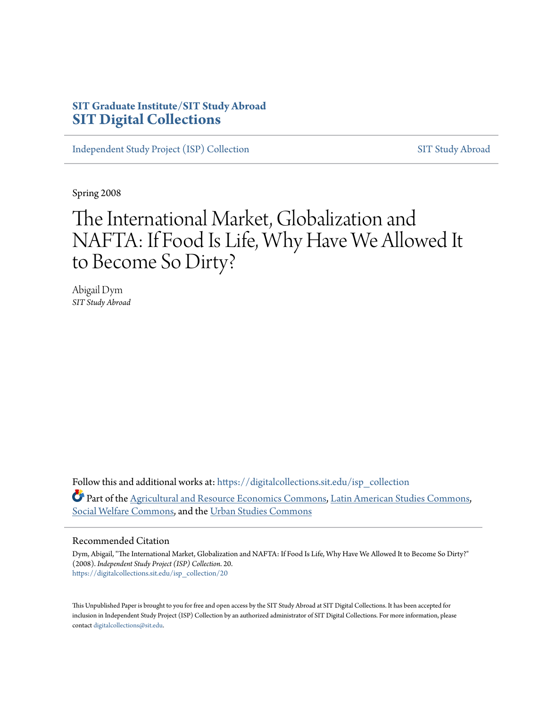#### **SIT Graduate Institute/SIT Study Abroad [SIT Digital Collections](https://digitalcollections.sit.edu?utm_source=digitalcollections.sit.edu%2Fisp_collection%2F20&utm_medium=PDF&utm_campaign=PDFCoverPages)**

[Independent Study Project \(ISP\) Collection](https://digitalcollections.sit.edu/isp_collection?utm_source=digitalcollections.sit.edu%2Fisp_collection%2F20&utm_medium=PDF&utm_campaign=PDFCoverPages) [SIT Study Abroad](https://digitalcollections.sit.edu/study_abroad?utm_source=digitalcollections.sit.edu%2Fisp_collection%2F20&utm_medium=PDF&utm_campaign=PDFCoverPages)

Spring 2008

# The International Market, Globalization and NAFTA: If Food Is Life, Why Have We Allowed It to Become So Dirty?

Abigail Dym *SIT Study Abroad*

Follow this and additional works at: [https://digitalcollections.sit.edu/isp\\_collection](https://digitalcollections.sit.edu/isp_collection?utm_source=digitalcollections.sit.edu%2Fisp_collection%2F20&utm_medium=PDF&utm_campaign=PDFCoverPages) Part of the [Agricultural and Resource Economics Commons](http://network.bepress.com/hgg/discipline/317?utm_source=digitalcollections.sit.edu%2Fisp_collection%2F20&utm_medium=PDF&utm_campaign=PDFCoverPages), [Latin American Studies Commons,](http://network.bepress.com/hgg/discipline/363?utm_source=digitalcollections.sit.edu%2Fisp_collection%2F20&utm_medium=PDF&utm_campaign=PDFCoverPages) [Social Welfare Commons,](http://network.bepress.com/hgg/discipline/401?utm_source=digitalcollections.sit.edu%2Fisp_collection%2F20&utm_medium=PDF&utm_campaign=PDFCoverPages) and the [Urban Studies Commons](http://network.bepress.com/hgg/discipline/402?utm_source=digitalcollections.sit.edu%2Fisp_collection%2F20&utm_medium=PDF&utm_campaign=PDFCoverPages)

#### Recommended Citation

Dym, Abigail, "The International Market, Globalization and NAFTA: If Food Is Life, Why Have We Allowed It to Become So Dirty?" (2008). *Independent Study Project (ISP) Collection*. 20. [https://digitalcollections.sit.edu/isp\\_collection/20](https://digitalcollections.sit.edu/isp_collection/20?utm_source=digitalcollections.sit.edu%2Fisp_collection%2F20&utm_medium=PDF&utm_campaign=PDFCoverPages)

This Unpublished Paper is brought to you for free and open access by the SIT Study Abroad at SIT Digital Collections. It has been accepted for inclusion in Independent Study Project (ISP) Collection by an authorized administrator of SIT Digital Collections. For more information, please contact [digitalcollections@sit.edu](mailto:digitalcollections@sit.edu).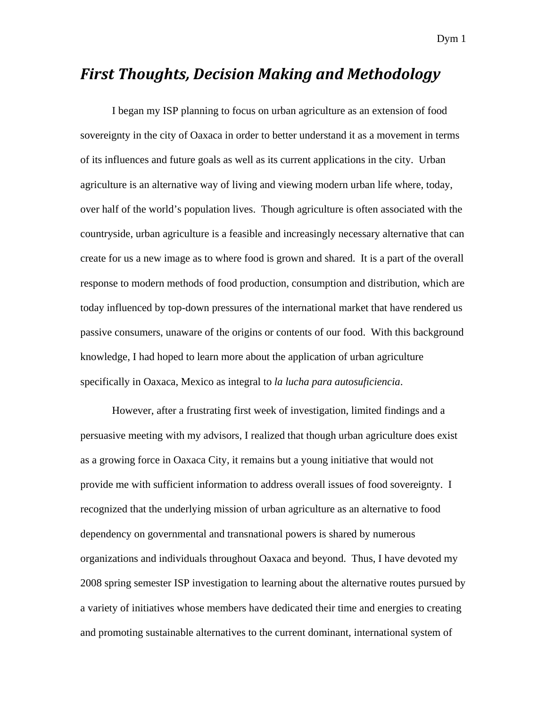#### *First Thoughts, Decision Making and Methodology*

I began my ISP planning to focus on urban agriculture as an extension of food sovereignty in the city of Oaxaca in order to better understand it as a movement in terms of its influences and future goals as well as its current applications in the city. Urban agriculture is an alternative way of living and viewing modern urban life where, today, over half of the world's population lives. Though agriculture is often associated with the countryside, urban agriculture is a feasible and increasingly necessary alternative that can create for us a new image as to where food is grown and shared. It is a part of the overall response to modern methods of food production, consumption and distribution, which are today influenced by top-down pressures of the international market that have rendered us passive consumers, unaware of the origins or contents of our food. With this background knowledge, I had hoped to learn more about the application of urban agriculture specifically in Oaxaca, Mexico as integral to *la lucha para autosuficiencia*.

However, after a frustrating first week of investigation, limited findings and a persuasive meeting with my advisors, I realized that though urban agriculture does exist as a growing force in Oaxaca City, it remains but a young initiative that would not provide me with sufficient information to address overall issues of food sovereignty. I recognized that the underlying mission of urban agriculture as an alternative to food dependency on governmental and transnational powers is shared by numerous organizations and individuals throughout Oaxaca and beyond. Thus, I have devoted my 2008 spring semester ISP investigation to learning about the alternative routes pursued by a variety of initiatives whose members have dedicated their time and energies to creating and promoting sustainable alternatives to the current dominant, international system of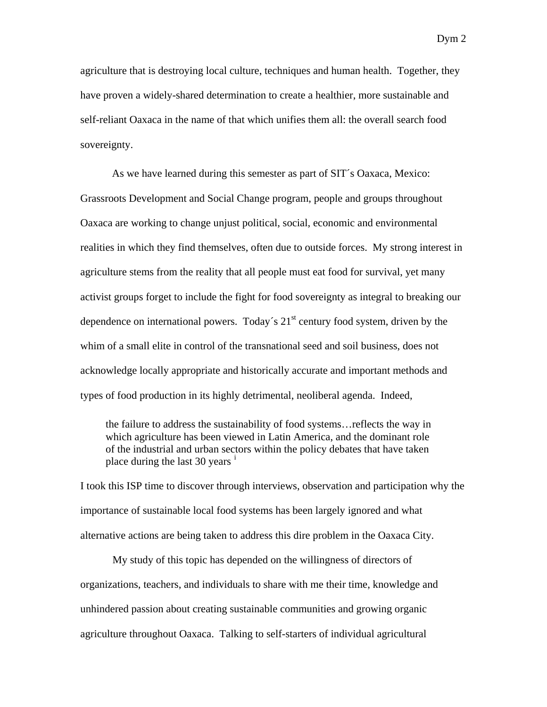agriculture that is destroying local culture, techniques and human health. Together, they have proven a widely-shared determination to create a healthier, more sustainable and self-reliant Oaxaca in the name of that which unifies them all: the overall search food sovereignty.

As we have learned during this semester as part of SIT´s Oaxaca, Mexico: Grassroots Development and Social Change program, people and groups throughout Oaxaca are working to change unjust political, social, economic and environmental realities in which they find themselves, often due to outside forces. My strong interest in agriculture stems from the reality that all people must eat food for survival, yet many activist groups forget to include the fight for food sovereignty as integral to breaking our dependence on international powers. Today's  $21<sup>st</sup>$  century food system, driven by the whim of a small elite in control of the transnational seed and soil business, does not acknowledge locally appropriate and historically accurate and important methods and types of food production in its highly detrimental, neoliberal agenda. Indeed,

the failure to address the sustainability of food systems…reflects the way in which agriculture has been viewed in Latin America, and the dominant role of the industrial and urban sectors within the policy debates that have taken place dur[i](#page-41-0)ng the last 30 years  $\frac{1}{1}$ 

I took this ISP time to discover through interviews, observation and participation why the importance of sustainable local food systems has been largely ignored and what alternative actions are being taken to address this dire problem in the Oaxaca City.

My study of this topic has depended on the willingness of directors of organizations, teachers, and individuals to share with me their time, knowledge and unhindered passion about creating sustainable communities and growing organic agriculture throughout Oaxaca. Talking to self-starters of individual agricultural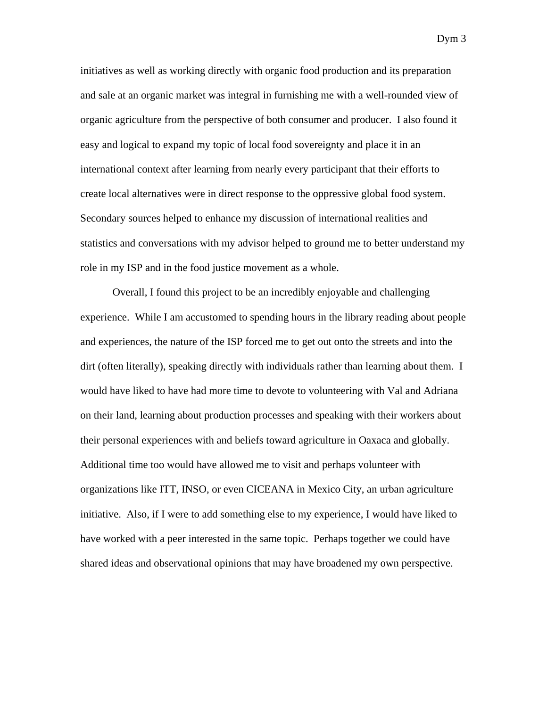initiatives as well as working directly with organic food production and its preparation and sale at an organic market was integral in furnishing me with a well-rounded view of organic agriculture from the perspective of both consumer and producer. I also found it easy and logical to expand my topic of local food sovereignty and place it in an international context after learning from nearly every participant that their efforts to create local alternatives were in direct response to the oppressive global food system. Secondary sources helped to enhance my discussion of international realities and statistics and conversations with my advisor helped to ground me to better understand my role in my ISP and in the food justice movement as a whole.

 Overall, I found this project to be an incredibly enjoyable and challenging experience. While I am accustomed to spending hours in the library reading about people and experiences, the nature of the ISP forced me to get out onto the streets and into the dirt (often literally), speaking directly with individuals rather than learning about them. I would have liked to have had more time to devote to volunteering with Val and Adriana on their land, learning about production processes and speaking with their workers about their personal experiences with and beliefs toward agriculture in Oaxaca and globally. Additional time too would have allowed me to visit and perhaps volunteer with organizations like ITT, INSO, or even CICEANA in Mexico City, an urban agriculture initiative. Also, if I were to add something else to my experience, I would have liked to have worked with a peer interested in the same topic. Perhaps together we could have shared ideas and observational opinions that may have broadened my own perspective.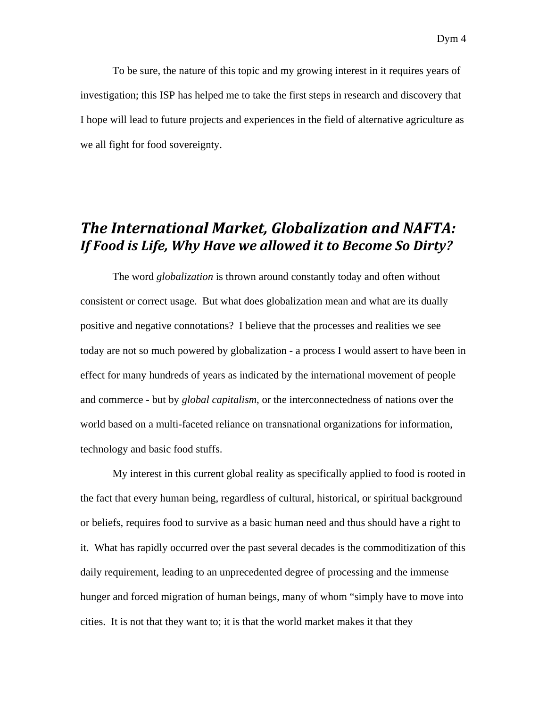To be sure, the nature of this topic and my growing interest in it requires years of investigation; this ISP has helped me to take the first steps in research and discovery that I hope will lead to future projects and experiences in the field of alternative agriculture as we all fight for food sovereignty.

#### *The International Market, Globalization and NAFTA: If Food is Life, Why Have we allowed it to Become So Dirty?*

 The word *globalization* is thrown around constantly today and often without consistent or correct usage. But what does globalization mean and what are its dually positive and negative connotations? I believe that the processes and realities we see today are not so much powered by globalization - a process I would assert to have been in effect for many hundreds of years as indicated by the international movement of people and commerce - but by *global capitalism*, or the interconnectedness of nations over the world based on a multi-faceted reliance on transnational organizations for information, technology and basic food stuffs.

My interest in this current global reality as specifically applied to food is rooted in the fact that every human being, regardless of cultural, historical, or spiritual background or beliefs, requires food to survive as a basic human need and thus should have a right to it. What has rapidly occurred over the past several decades is the commoditization of this daily requirement, leading to an unprecedented degree of processing and the immense hunger and forced migration of human beings, many of whom "simply have to move into cities. It is not that they want to; it is that the world market makes it that they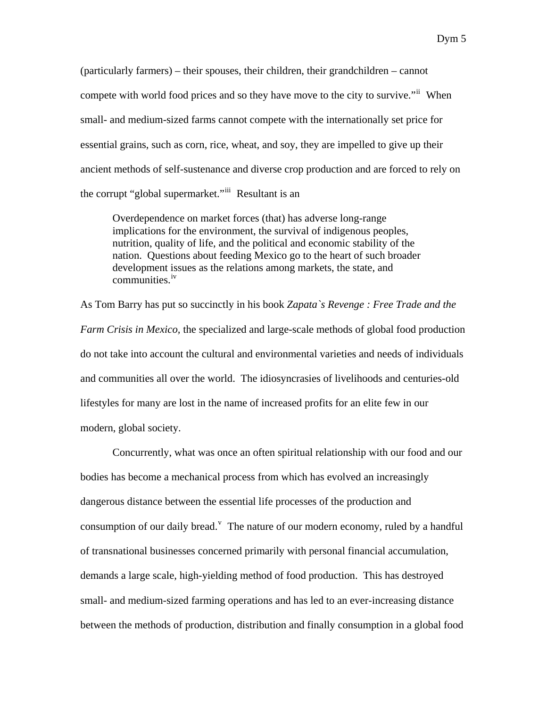(particularly farmers) – their spouses, their children, their grandchildren – cannot compete with world food prices and so they have move to the city to survive."<sup>[ii](#page-41-1)</sup> When small- and medium-sized farms cannot compete with the internationally set price for essential grains, such as corn, rice, wheat, and soy, they are impelled to give up their ancient methods of self-sustenance and diverse crop production and are forced to rely on the corrupt "global supermarket."[iii](#page-41-1) Resultant is an

Overdependence on market forces (that) has adverse long-range implications for the environment, the survival of indigenous peoples, nutrition, quality of life, and the political and economic stability of the nation. Questions about feeding Mexico go to the heart of such broader development issues as the relations among markets, the state, and communities.<sup>[iv](#page-41-1)</sup>

As Tom Barry has put so succinctly in his book *Zapata`s Revenge : Free Trade and the Farm Crisis in Mexico,* the specialized and large-scale methods of global food production do not take into account the cultural and environmental varieties and needs of individuals and communities all over the world. The idiosyncrasies of livelihoods and centuries-old lifestyles for many are lost in the name of increased profits for an elite few in our modern, global society.

Concurrently, what was once an often spiritual relationship with our food and our bodies has become a mechanical process from which has evolved an increasingly dangerous distance between the essential life processes of the production and consumption of our daily bread.<sup> $v$ </sup> The nature of our modern economy, ruled by a handful of transnational businesses concerned primarily with personal financial accumulation, demands a large scale, high-yielding method of food production. This has destroyed small- and medium-sized farming operations and has led to an ever-increasing distance between the methods of production, distribution and finally consumption in a global food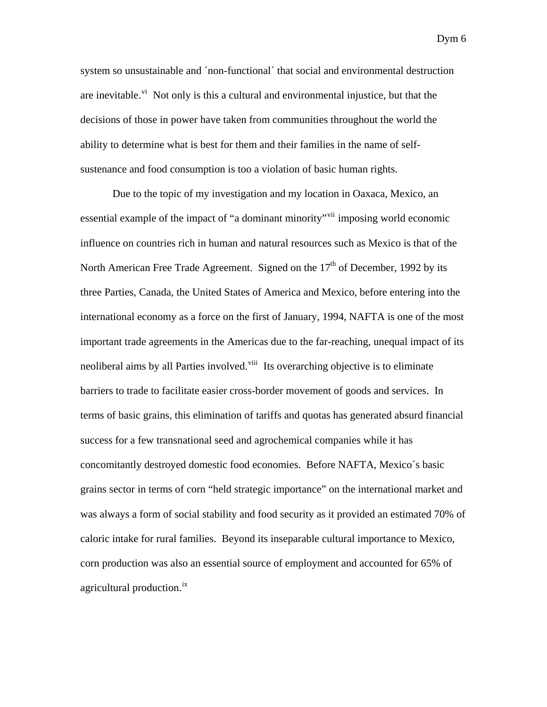system so unsustainable and ´non-functional´ that social and environmental destruction are ine[vi](#page-41-1)table.<sup>vi</sup> Not only is this a cultural and environmental injustice, but that the decisions of those in power have taken from communities throughout the world the ability to determine what is best for them and their families in the name of selfsustenance and food consumption is too a violation of basic human rights.

Due to the topic of my investigation and my location in Oaxaca, Mexico, an essential example of the impact of "a dominant minority"<sup>[vii](#page-41-1)</sup> imposing world economic influence on countries rich in human and natural resources such as Mexico is that of the North American Free Trade Agreement. Signed on the  $17<sup>th</sup>$  of December, 1992 by its three Parties, Canada, the United States of America and Mexico, before entering into the international economy as a force on the first of January, 1994, NAFTA is one of the most important trade agreements in the Americas due to the far-reaching, unequal impact of its neoliberal aims by all Parties involved.<sup>[viii](#page-41-1)</sup> Its overarching objective is to eliminate barriers to trade to facilitate easier cross-border movement of goods and services. In terms of basic grains, this elimination of tariffs and quotas has generated absurd financial success for a few transnational seed and agrochemical companies while it has concomitantly destroyed domestic food economies. Before NAFTA, Mexico´s basic grains sector in terms of corn "held strategic importance" on the international market and was always a form of social stability and food security as it provided an estimated 70% of caloric intake for rural families. Beyond its inseparable cultural importance to Mexico, corn production was also an essential source of employment and accounted for 65% of agricultural production.<sup>[ix](#page-41-1)</sup>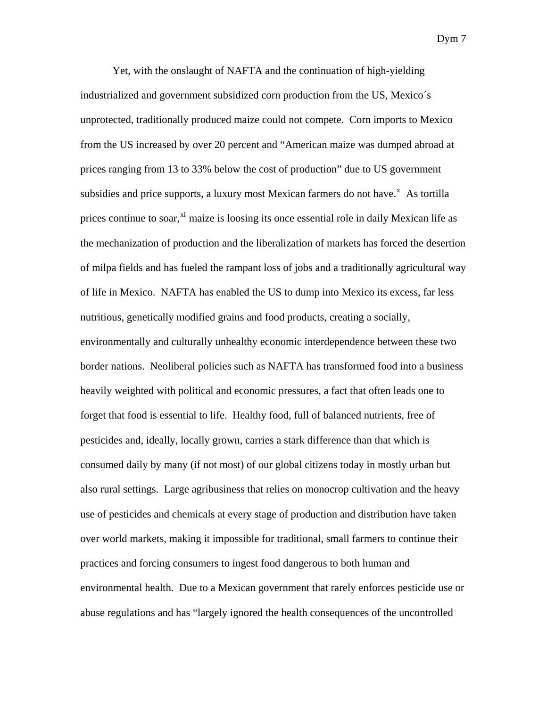Yet, with the onslaught of NAFTA and the continuation of high-yielding industrialized and government subsidized corn production from the US, Mexico´s unprotected, traditionally produced maize could not compete. Corn imports to Mexico from the US increased by over 20 percent and "American maize was dumped abroad at prices ranging from 13 to 33% below the cost of production" due to US government subsidies and price supports, a lu[x](#page-41-1)ury most Mexican farmers do not have. $^x$  As tortilla prices continue to soar, $\frac{x_i}{x_i}$  maize is loosing its once essential role in daily Me[xi](#page-41-1)can life as the mechanization of production and the liberalization of markets has forced the desertion of milpa fields and has fueled the rampant loss of jobs and a traditionally agricultural way of life in Mexico. NAFTA has enabled the US to dump into Mexico its excess, far less nutritious, genetically modified grains and food products, creating a socially, environmentally and culturally unhealthy economic interdependence between these two border nations. Neoliberal policies such as NAFTA has transformed food into a business heavily weighted with political and economic pressures, a fact that often leads one to forget that food is essential to life. Healthy food, full of balanced nutrients, free of pesticides and, ideally, locally grown, carries a stark difference than that which is consumed daily by many (if not most) of our global citizens today in mostly urban but also rural settings. Large agribusiness that relies on monocrop cultivation and the heavy use of pesticides and chemicals at every stage of production and distribution have taken over world markets, making it impossible for traditional, small farmers to continue their practices and forcing consumers to ingest food dangerous to both human and environmental health. Due to a Mexican government that rarely enforces pesticide use or abuse regulations and has "largely ignored the health consequences of the uncontrolled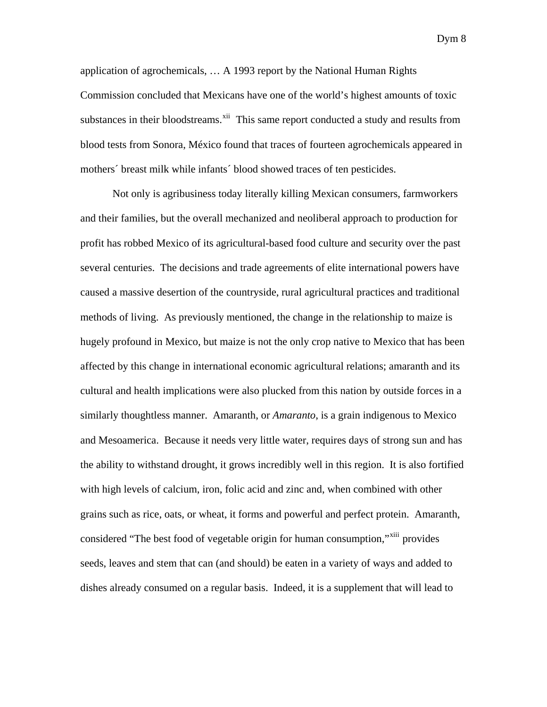application of agrochemicals, … A 1993 report by the National Human Rights Commission concluded that Mexicans have one of the world's highest amounts of toxic substances in their bloodstreams.<sup>[xii](#page-41-1)</sup> This same report conducted a study and results from blood tests from Sonora, México found that traces of fourteen agrochemicals appeared in mothers´ breast milk while infants´ blood showed traces of ten pesticides.

 Not only is agribusiness today literally killing Mexican consumers, farmworkers and their families, but the overall mechanized and neoliberal approach to production for profit has robbed Mexico of its agricultural-based food culture and security over the past several centuries. The decisions and trade agreements of elite international powers have caused a massive desertion of the countryside, rural agricultural practices and traditional methods of living. As previously mentioned, the change in the relationship to maize is hugely profound in Mexico, but maize is not the only crop native to Mexico that has been affected by this change in international economic agricultural relations; amaranth and its cultural and health implications were also plucked from this nation by outside forces in a similarly thoughtless manner. Amaranth, or *Amaranto*, is a grain indigenous to Mexico and Mesoamerica. Because it needs very little water, requires days of strong sun and has the ability to withstand drought, it grows incredibly well in this region. It is also fortified with high levels of calcium, iron, folic acid and zinc and, when combined with other grains such as rice, oats, or wheat, it forms and powerful and perfect protein. Amaranth, considered "The best food of vegetable origin for human consumption,"<sup>[xiii](#page-41-1)</sup> provides seeds, leaves and stem that can (and should) be eaten in a variety of ways and added to dishes already consumed on a regular basis. Indeed, it is a supplement that will lead to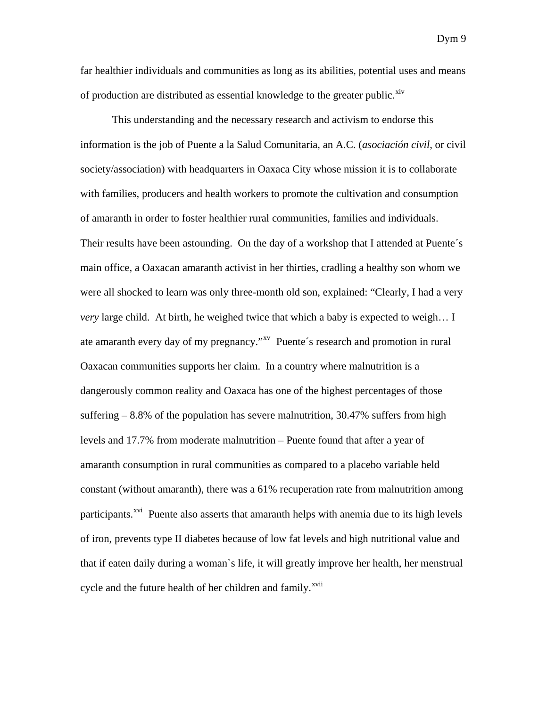far healthier individuals and communities as long as its abilities, potential uses and means of production are distributed as essential knowledge to the greater public.<sup>[xiv](#page-41-1)</sup>

This understanding and the necessary research and activism to endorse this information is the job of Puente a la Salud Comunitaria, an A.C. (*asociación civil*, or civil society/association) with headquarters in Oaxaca City whose mission it is to collaborate with families, producers and health workers to promote the cultivation and consumption of amaranth in order to foster healthier rural communities, families and individuals. Their results have been astounding. On the day of a workshop that I attended at Puente´s main office, a Oaxacan amaranth activist in her thirties, cradling a healthy son whom we were all shocked to learn was only three-month old son, explained: "Clearly, I had a very *very* large child. At birth, he weighed twice that which a baby is expected to weigh… I ate amaranth every day of my pregnancy."<sup>[xv](#page-41-1)</sup> Puente's research and promotion in rural Oaxacan communities supports her claim. In a country where malnutrition is a dangerously common reality and Oaxaca has one of the highest percentages of those suffering  $-8.8\%$  of the population has severe malnutrition, 30.47% suffers from high levels and 17.7% from moderate malnutrition – Puente found that after a year of amaranth consumption in rural communities as compared to a placebo variable held constant (without amaranth), there was a 61% recuperation rate from malnutrition among participants.<sup>[xvi](#page-41-1)</sup> Puente also asserts that amaranth helps with anemia due to its high levels of iron, prevents type II diabetes because of low fat levels and high nutritional value and that if eaten daily during a woman`s life, it will greatly improve her health, her menstrual cycle and the future health of her children and family.<sup>[xvii](#page-41-1)</sup>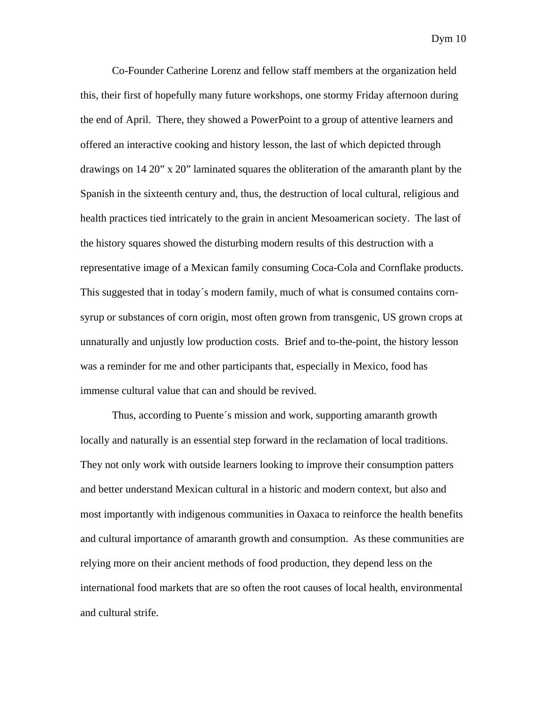Co-Founder Catherine Lorenz and fellow staff members at the organization held this, their first of hopefully many future workshops, one stormy Friday afternoon during the end of April. There, they showed a PowerPoint to a group of attentive learners and offered an interactive cooking and history lesson, the last of which depicted through drawings on 14 20" x 20" laminated squares the obliteration of the amaranth plant by the Spanish in the sixteenth century and, thus, the destruction of local cultural, religious and health practices tied intricately to the grain in ancient Mesoamerican society. The last of the history squares showed the disturbing modern results of this destruction with a representative image of a Mexican family consuming Coca-Cola and Cornflake products. This suggested that in today´s modern family, much of what is consumed contains cornsyrup or substances of corn origin, most often grown from transgenic, US grown crops at unnaturally and unjustly low production costs. Brief and to-the-point, the history lesson was a reminder for me and other participants that, especially in Mexico, food has immense cultural value that can and should be revived.

Thus, according to Puente´s mission and work, supporting amaranth growth locally and naturally is an essential step forward in the reclamation of local traditions. They not only work with outside learners looking to improve their consumption patters and better understand Mexican cultural in a historic and modern context, but also and most importantly with indigenous communities in Oaxaca to reinforce the health benefits and cultural importance of amaranth growth and consumption. As these communities are relying more on their ancient methods of food production, they depend less on the international food markets that are so often the root causes of local health, environmental and cultural strife.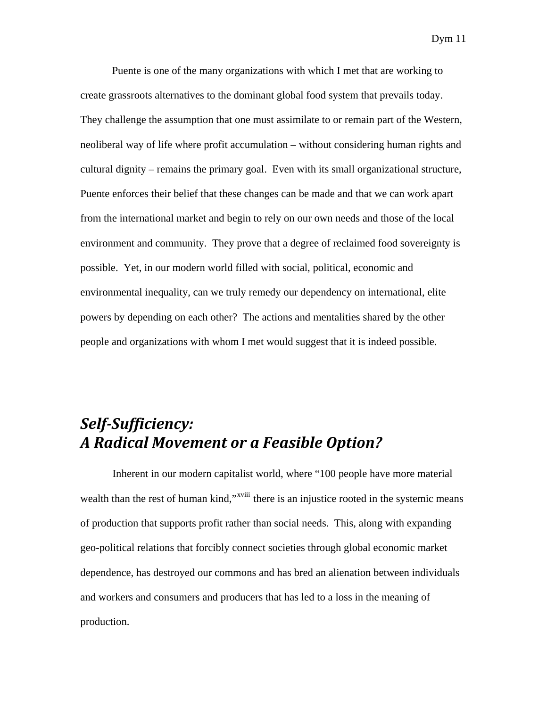Puente is one of the many organizations with which I met that are working to create grassroots alternatives to the dominant global food system that prevails today. They challenge the assumption that one must assimilate to or remain part of the Western, neoliberal way of life where profit accumulation – without considering human rights and cultural dignity – remains the primary goal. Even with its small organizational structure, Puente enforces their belief that these changes can be made and that we can work apart from the international market and begin to rely on our own needs and those of the local environment and community. They prove that a degree of reclaimed food sovereignty is possible. Yet, in our modern world filled with social, political, economic and environmental inequality, can we truly remedy our dependency on international, elite powers by depending on each other? The actions and mentalities shared by the other people and organizations with whom I met would suggest that it is indeed possible.

# *SelfSufficiency: A Radical Movement or a Feasible Option?*

 Inherent in our modern capitalist world, where "100 people have more material wealth than the rest of human kind,"<sup>[xviii](#page-41-1)</sup> there is an injustice rooted in the systemic means of production that supports profit rather than social needs. This, along with expanding geo-political relations that forcibly connect societies through global economic market dependence, has destroyed our commons and has bred an alienation between individuals and workers and consumers and producers that has led to a loss in the meaning of production.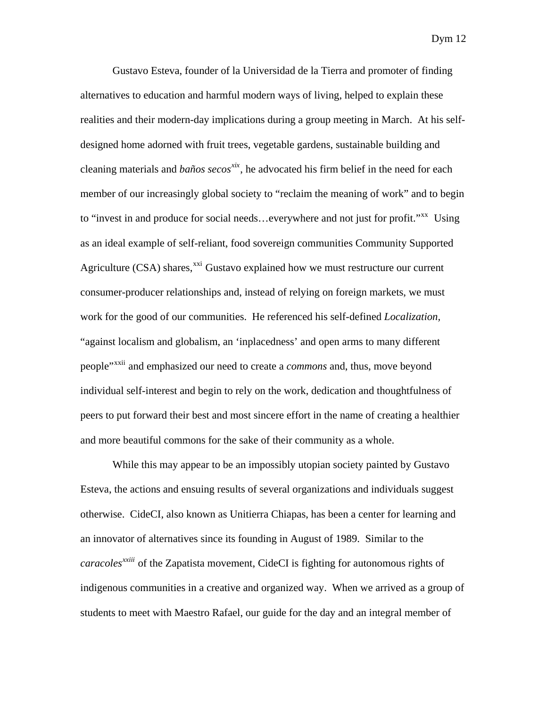Gustavo Esteva, founder of la Universidad de la Tierra and promoter of finding alternatives to education and harmful modern ways of living, helped to explain these realities and their modern-day implications during a group meeting in March. At his selfdesigned home adorned with fruit trees, vegetable gardens, sustainable building and cleaning materials and *baños secos[xix](#page-41-1)*, he advocated his firm belief in the need for each member of our increasingly global society to "reclaim the meaning of work" and to begin to "invest in and produce for social needs...everywhere and not just for profit."<sup>[xx](#page-41-1)</sup> Using as an ideal example of self-reliant, food sovereign communities Community Supported Agriculture (CSA) shares, $^{xxi}$  $^{xxi}$  $^{xxi}$  Gustavo explained how we must restructure our current consumer-producer relationships and, instead of relying on foreign markets, we must work for the good of our communities. He referenced his self-defined *Localization,* "against localism and globalism, an 'inplacedness' and open arms to many different people"[xxii](#page-41-1) and emphasized our need to create a *commons* and, thus, move beyond individual self-interest and begin to rely on the work, dedication and thoughtfulness of peers to put forward their best and most sincere effort in the name of creating a healthier and more beautiful commons for the sake of their community as a whole.

 While this may appear to be an impossibly utopian society painted by Gustavo Esteva, the actions and ensuing results of several organizations and individuals suggest otherwise. CideCI, also known as Unitierra Chiapas, has been a center for learning and an innovator of alternatives since its founding in August of 1989. Similar to the *caracoles[xxiii](#page-41-1)* of the Zapatista movement, CideCI is fighting for autonomous rights of indigenous communities in a creative and organized way. When we arrived as a group of students to meet with Maestro Rafael, our guide for the day and an integral member of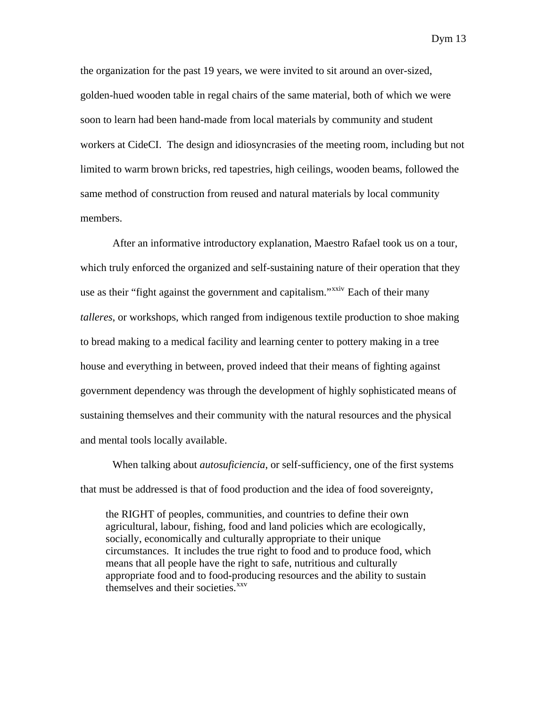the organization for the past 19 years, we were invited to sit around an over-sized, golden-hued wooden table in regal chairs of the same material, both of which we were soon to learn had been hand-made from local materials by community and student workers at CideCI. The design and idiosyncrasies of the meeting room, including but not limited to warm brown bricks, red tapestries, high ceilings, wooden beams, followed the same method of construction from reused and natural materials by local community members.

 After an informative introductory explanation, Maestro Rafael took us on a tour, which truly enforced the organized and self-sustaining nature of their operation that they use as their "fight against the government and capitalism."<sup>[xxiv](#page-41-1)</sup> Each of their many *talleres*, or workshops, which ranged from indigenous textile production to shoe making to bread making to a medical facility and learning center to pottery making in a tree house and everything in between, proved indeed that their means of fighting against government dependency was through the development of highly sophisticated means of sustaining themselves and their community with the natural resources and the physical and mental tools locally available.

When talking about *autosuficiencia*, or self-sufficiency, one of the first systems that must be addressed is that of food production and the idea of food sovereignty,

the RIGHT of peoples, communities, and countries to define their own agricultural, labour, fishing, food and land policies which are ecologically, socially, economically and culturally appropriate to their unique circumstances. It includes the true right to food and to produce food, which means that all people have the right to safe, nutritious and culturally appropriate food and to food-producing resources and the ability to sustain themselves and their societies.<sup>[xxv](#page-41-1)</sup>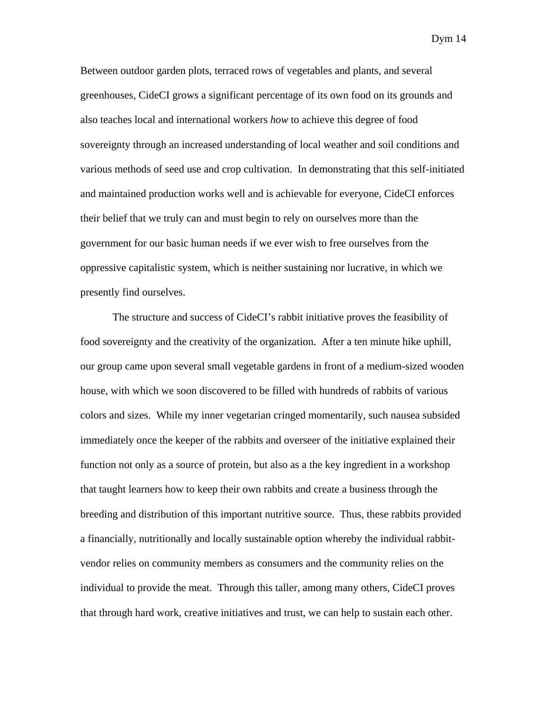Between outdoor garden plots, terraced rows of vegetables and plants, and several greenhouses, CideCI grows a significant percentage of its own food on its grounds and also teaches local and international workers *how* to achieve this degree of food sovereignty through an increased understanding of local weather and soil conditions and various methods of seed use and crop cultivation. In demonstrating that this self-initiated and maintained production works well and is achievable for everyone, CideCI enforces their belief that we truly can and must begin to rely on ourselves more than the government for our basic human needs if we ever wish to free ourselves from the oppressive capitalistic system, which is neither sustaining nor lucrative, in which we presently find ourselves.

The structure and success of CideCI's rabbit initiative proves the feasibility of food sovereignty and the creativity of the organization. After a ten minute hike uphill, our group came upon several small vegetable gardens in front of a medium-sized wooden house, with which we soon discovered to be filled with hundreds of rabbits of various colors and sizes. While my inner vegetarian cringed momentarily, such nausea subsided immediately once the keeper of the rabbits and overseer of the initiative explained their function not only as a source of protein, but also as a the key ingredient in a workshop that taught learners how to keep their own rabbits and create a business through the breeding and distribution of this important nutritive source. Thus, these rabbits provided a financially, nutritionally and locally sustainable option whereby the individual rabbitvendor relies on community members as consumers and the community relies on the individual to provide the meat. Through this taller, among many others, CideCI proves that through hard work, creative initiatives and trust, we can help to sustain each other.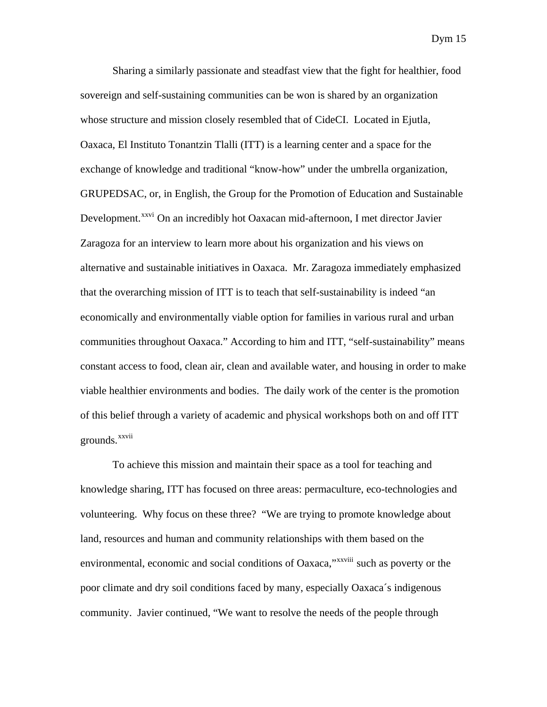Sharing a similarly passionate and steadfast view that the fight for healthier, food sovereign and self-sustaining communities can be won is shared by an organization whose structure and mission closely resembled that of CideCI. Located in Ejutla, Oaxaca, El Instituto Tonantzin Tlalli (ITT) is a learning center and a space for the exchange of knowledge and traditional "know-how" under the umbrella organization, GRUPEDSAC, or, in English, the Group for the Promotion of Education and Sustainable Development.<sup>[xxvi](#page-41-1)</sup> On an incredibly hot Oaxacan mid-afternoon, I met director Javier Zaragoza for an interview to learn more about his organization and his views on alternative and sustainable initiatives in Oaxaca. Mr. Zaragoza immediately emphasized that the overarching mission of ITT is to teach that self-sustainability is indeed "an economically and environmentally viable option for families in various rural and urban communities throughout Oaxaca." According to him and ITT, "self-sustainability" means constant access to food, clean air, clean and available water, and housing in order to make viable healthier environments and bodies. The daily work of the center is the promotion of this belief through a variety of academic and physical workshops both on and off ITT grounds.<sup>[xxvii](#page-41-1)</sup>

To achieve this mission and maintain their space as a tool for teaching and knowledge sharing, ITT has focused on three areas: permaculture, eco-technologies and volunteering. Why focus on these three? "We are trying to promote knowledge about land, resources and human and community relationships with them based on the environmental, economic and social conditions of Oaxaca,"<sup>[xxviii](#page-41-1)</sup> such as poverty or the poor climate and dry soil conditions faced by many, especially Oaxaca´s indigenous community. Javier continued, "We want to resolve the needs of the people through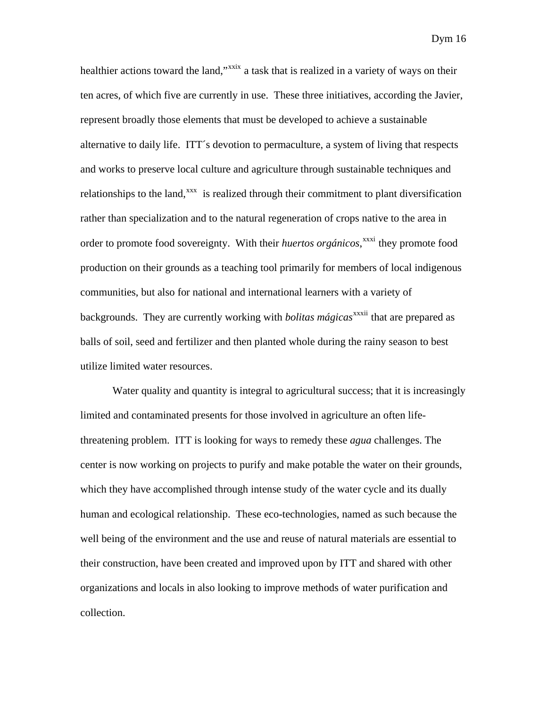healthier actions toward the land,"<sup>[xxix](#page-41-1)</sup> a task that is realized in a variety of ways on their ten acres, of which five are currently in use. These three initiatives, according the Javier, represent broadly those elements that must be developed to achieve a sustainable alternative to daily life. ITT´s devotion to permaculture, a system of living that respects and works to preserve local culture and agriculture through sustainable techniques and relationships to the land,<sup>[xxx](#page-41-1)</sup> is realized through their commitment to plant diversification rather than specialization and to the natural regeneration of crops native to the area in order to promote food sovereignty. With their *huertos orgánicos*,<sup>[xxxi](#page-41-1)</sup> they promote food production on their grounds as a teaching tool primarily for members of local indigenous communities, but also for national and international learners with a variety of backgrounds. They are currently working with *bolitas mágicas*<sup>[xxxii](#page-41-1)</sup> that are prepared as balls of soil, seed and fertilizer and then planted whole during the rainy season to best utilize limited water resources.

Water quality and quantity is integral to agricultural success; that it is increasingly limited and contaminated presents for those involved in agriculture an often lifethreatening problem. ITT is looking for ways to remedy these *agua* challenges. The center is now working on projects to purify and make potable the water on their grounds, which they have accomplished through intense study of the water cycle and its dually human and ecological relationship. These eco-technologies, named as such because the well being of the environment and the use and reuse of natural materials are essential to their construction, have been created and improved upon by ITT and shared with other organizations and locals in also looking to improve methods of water purification and collection.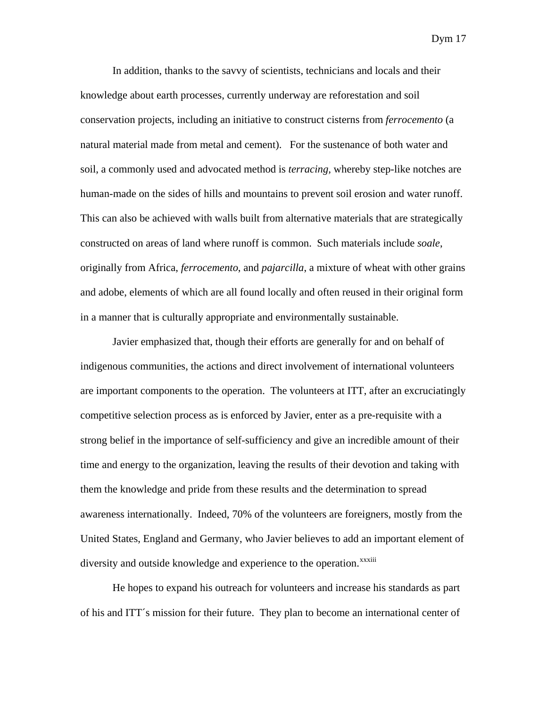In addition, thanks to the savvy of scientists, technicians and locals and their knowledge about earth processes, currently underway are reforestation and soil conservation projects, including an initiative to construct cisterns from *ferrocemento* (a natural material made from metal and cement). For the sustenance of both water and soil, a commonly used and advocated method is *terracing,* whereby step-like notches are human-made on the sides of hills and mountains to prevent soil erosion and water runoff. This can also be achieved with walls built from alternative materials that are strategically constructed on areas of land where runoff is common. Such materials include *soale*, originally from Africa, *ferrocemento*, and *pajarcilla*, a mixture of wheat with other grains and adobe, elements of which are all found locally and often reused in their original form in a manner that is culturally appropriate and environmentally sustainable.

Javier emphasized that, though their efforts are generally for and on behalf of indigenous communities, the actions and direct involvement of international volunteers are important components to the operation. The volunteers at ITT, after an excruciatingly competitive selection process as is enforced by Javier, enter as a pre-requisite with a strong belief in the importance of self-sufficiency and give an incredible amount of their time and energy to the organization, leaving the results of their devotion and taking with them the knowledge and pride from these results and the determination to spread awareness internationally. Indeed, 70% of the volunteers are foreigners, mostly from the United States, England and Germany, who Javier believes to add an important element of diversity and outside knowledge and experience to the operation.<sup>[xxxiii](#page-41-1)</sup>

He hopes to expand his outreach for volunteers and increase his standards as part of his and ITT´s mission for their future. They plan to become an international center of

Dym 17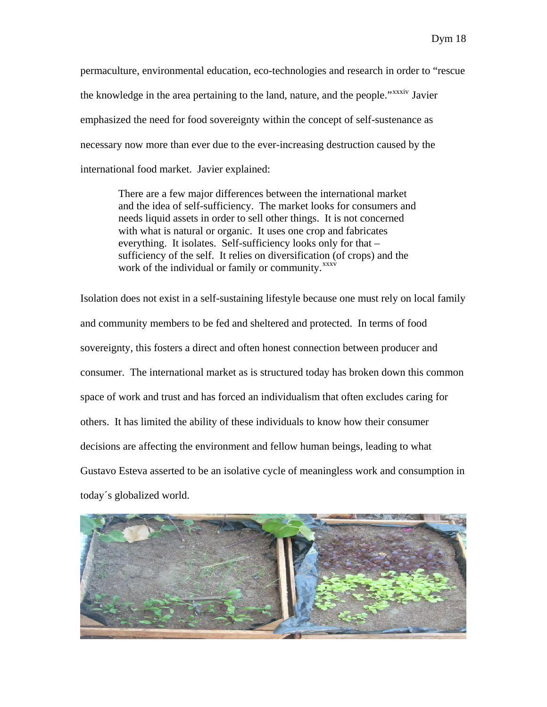permaculture, environmental education, eco-technologies and research in order to "rescue the knowledge in the area pertaining to the land, nature, and the people."<sup>x[xxxiv](#page-41-1)</sup> Javier emphasized the need for food sovereignty within the concept of self-sustenance as necessary now more than ever due to the ever-increasing destruction caused by the international food market. Javier explained:

There are a few major differences between the international market and the idea of self-sufficiency. The market looks for consumers and needs liquid assets in order to sell other things. It is not concerned with what is natural or organic. It uses one crop and fabricates everything. It isolates. Self-sufficiency looks only for that – sufficiency of the self. It relies on diversification (of crops) and the work of the individual or family or community.<sup>[xxxv](#page-41-1)</sup>

Isolation does not exist in a self-sustaining lifestyle because one must rely on local family and community members to be fed and sheltered and protected. In terms of food sovereignty, this fosters a direct and often honest connection between producer and consumer. The international market as is structured today has broken down this common space of work and trust and has forced an individualism that often excludes caring for others. It has limited the ability of these individuals to know how their consumer decisions are affecting the environment and fellow human beings, leading to what Gustavo Esteva asserted to be an isolative cycle of meaningless work and consumption in today´s globalized world.

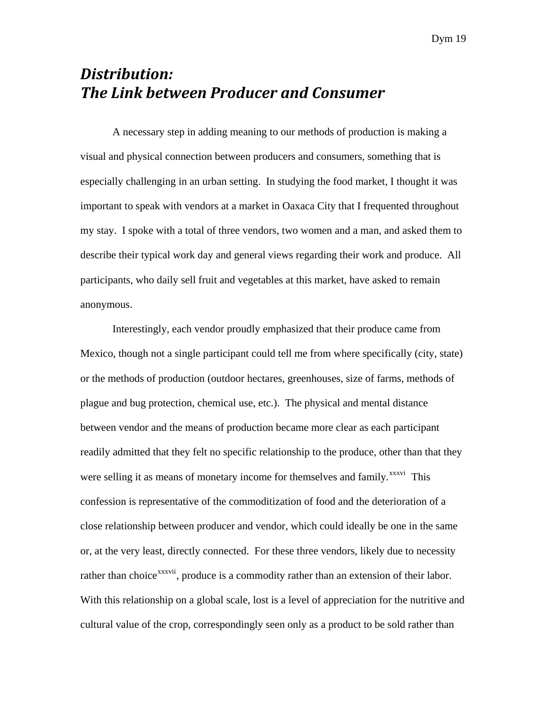# *Distribution: The Link between Producer and Consumer*

 A necessary step in adding meaning to our methods of production is making a visual and physical connection between producers and consumers, something that is especially challenging in an urban setting. In studying the food market, I thought it was important to speak with vendors at a market in Oaxaca City that I frequented throughout my stay. I spoke with a total of three vendors, two women and a man, and asked them to describe their typical work day and general views regarding their work and produce. All participants, who daily sell fruit and vegetables at this market, have asked to remain anonymous.

 Interestingly, each vendor proudly emphasized that their produce came from Mexico, though not a single participant could tell me from where specifically (city, state) or the methods of production (outdoor hectares, greenhouses, size of farms, methods of plague and bug protection, chemical use, etc.). The physical and mental distance between vendor and the means of production became more clear as each participant readily admitted that they felt no specific relationship to the produce, other than that they were selling it as means of monetary income for themselves and family.<sup>[xxxvi](#page-41-1)</sup> This confession is representative of the commoditization of food and the deterioration of a close relationship between producer and vendor, which could ideally be one in the same or, at the very least, directly connected. For these three vendors, likely due to necessity rather than choice<sup>[xxxvii](#page-41-1)</sup>, produce is a commodity rather than an extension of their labor. With this relationship on a global scale, lost is a level of appreciation for the nutritive and cultural value of the crop, correspondingly seen only as a product to be sold rather than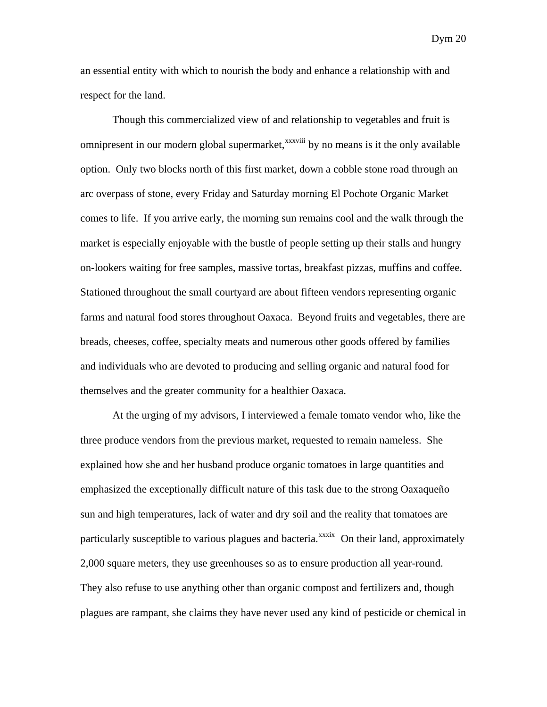an essential entity with which to nourish the body and enhance a relationship with and respect for the land.

 Though this commercialized view of and relationship to vegetables and fruit is omnipresent in our modern global supermarket,<sup>[xxxviii](#page-41-1)</sup> by no means is it the only available option. Only two blocks north of this first market, down a cobble stone road through an arc overpass of stone, every Friday and Saturday morning El Pochote Organic Market comes to life. If you arrive early, the morning sun remains cool and the walk through the market is especially enjoyable with the bustle of people setting up their stalls and hungry on-lookers waiting for free samples, massive tortas, breakfast pizzas, muffins and coffee. Stationed throughout the small courtyard are about fifteen vendors representing organic farms and natural food stores throughout Oaxaca. Beyond fruits and vegetables, there are breads, cheeses, coffee, specialty meats and numerous other goods offered by families and individuals who are devoted to producing and selling organic and natural food for themselves and the greater community for a healthier Oaxaca.

 At the urging of my advisors, I interviewed a female tomato vendor who, like the three produce vendors from the previous market, requested to remain nameless. She explained how she and her husband produce organic tomatoes in large quantities and emphasized the exceptionally difficult nature of this task due to the strong Oaxaqueño sun and high temperatures, lack of water and dry soil and the reality that tomatoes are particularly susceptible to various plagues and bacteria.<sup>[xxxix](#page-41-1)</sup> On their land, approximately 2,000 square meters, they use greenhouses so as to ensure production all year-round. They also refuse to use anything other than organic compost and fertilizers and, though plagues are rampant, she claims they have never used any kind of pesticide or chemical in

Dym 20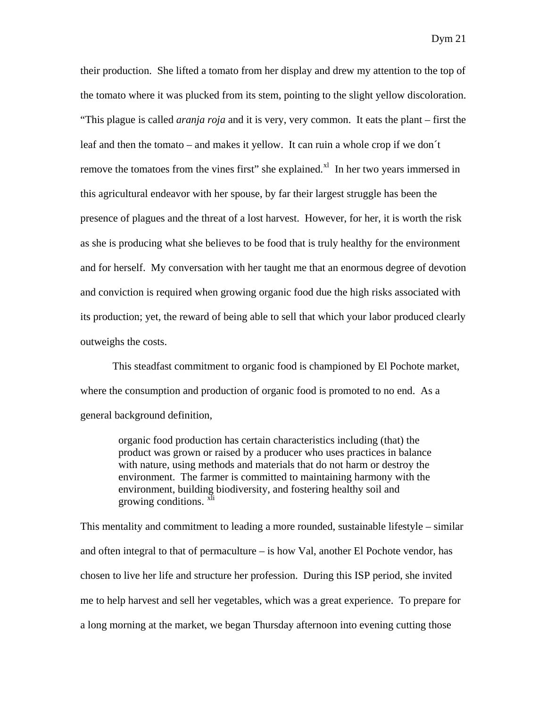their production. She lifted a tomato from her display and drew my attention to the top of the tomato where it was plucked from its stem, pointing to the slight yellow discoloration. "This plague is called *aranja roja* and it is very, very common. It eats the plant – first the leaf and then the tomato – and makes it yellow. It can ruin a whole crop if we don´t remove the tomatoes from the vines first" she explained. $X<sup>1</sup>$  In her two years immersed in this agricultural endeavor with her spouse, by far their largest struggle has been the presence of plagues and the threat of a lost harvest. However, for her, it is worth the risk as she is producing what she believes to be food that is truly healthy for the environment and for herself. My conversation with her taught me that an enormous degree of devotion and conviction is required when growing organic food due the high risks associated with its production; yet, the reward of being able to sell that which your labor produced clearly outweighs the costs.

 This steadfast commitment to organic food is championed by El Pochote market, where the consumption and production of organic food is promoted to no end. As a general background definition,

organic food production has certain characteristics including (that) the product was grown or raised by a producer who uses practices in balance with nature, using methods and materials that do not harm or destroy the environment. The farmer is committed to maintaining harmony with the environment, building biodiversity, and fostering healthy soil and growing conditions. XIi

This mentality and commitment to leading a more rounded, sustainable lifestyle – similar and often integral to that of permaculture – is how Val, another El Pochote vendor, has chosen to live her life and structure her profession. During this ISP period, she invited me to help harvest and sell her vegetables, which was a great experience. To prepare for a long morning at the market, we began Thursday afternoon into evening cutting those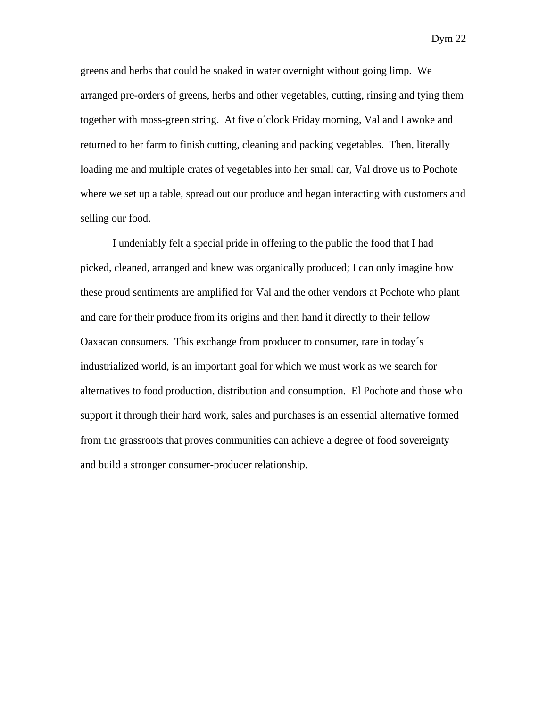greens and herbs that could be soaked in water overnight without going limp. We arranged pre-orders of greens, herbs and other vegetables, cutting, rinsing and tying them together with moss-green string. At five o´clock Friday morning, Val and I awoke and returned to her farm to finish cutting, cleaning and packing vegetables. Then, literally loading me and multiple crates of vegetables into her small car, Val drove us to Pochote where we set up a table, spread out our produce and began interacting with customers and selling our food.

 I undeniably felt a special pride in offering to the public the food that I had picked, cleaned, arranged and knew was organically produced; I can only imagine how these proud sentiments are amplified for Val and the other vendors at Pochote who plant and care for their produce from its origins and then hand it directly to their fellow Oaxacan consumers. This exchange from producer to consumer, rare in today´s industrialized world, is an important goal for which we must work as we search for alternatives to food production, distribution and consumption. El Pochote and those who support it through their hard work, sales and purchases is an essential alternative formed from the grassroots that proves communities can achieve a degree of food sovereignty and build a stronger consumer-producer relationship.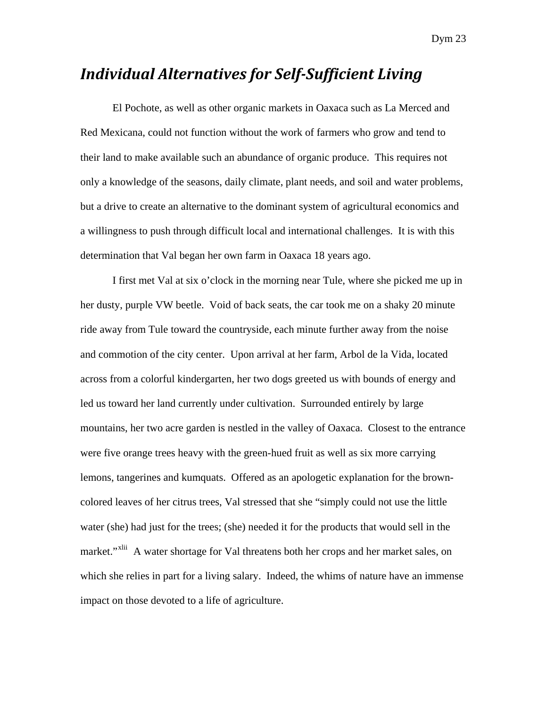### *Individual Alternatives for SelfSufficient Living*

El Pochote, as well as other organic markets in Oaxaca such as La Merced and Red Mexicana, could not function without the work of farmers who grow and tend to their land to make available such an abundance of organic produce. This requires not only a knowledge of the seasons, daily climate, plant needs, and soil and water problems, but a drive to create an alternative to the dominant system of agricultural economics and a willingness to push through difficult local and international challenges. It is with this determination that Val began her own farm in Oaxaca 18 years ago.

I first met Val at six o'clock in the morning near Tule, where she picked me up in her dusty, purple VW beetle. Void of back seats, the car took me on a shaky 20 minute ride away from Tule toward the countryside, each minute further away from the noise and commotion of the city center. Upon arrival at her farm, Arbol de la Vida, located across from a colorful kindergarten, her two dogs greeted us with bounds of energy and led us toward her land currently under cultivation. Surrounded entirely by large mountains, her two acre garden is nestled in the valley of Oaxaca. Closest to the entrance were five orange trees heavy with the green-hued fruit as well as six more carrying lemons, tangerines and kumquats. Offered as an apologetic explanation for the browncolored leaves of her citrus trees, Val stressed that she "simply could not use the little water (she) had just for the trees; (she) needed it for the products that would sell in the market."<sup>[xlii](#page-41-1)</sup> A water shortage for Val threatens both her crops and her market sales, on which she relies in part for a living salary. Indeed, the whims of nature have an immense impact on those devoted to a life of agriculture.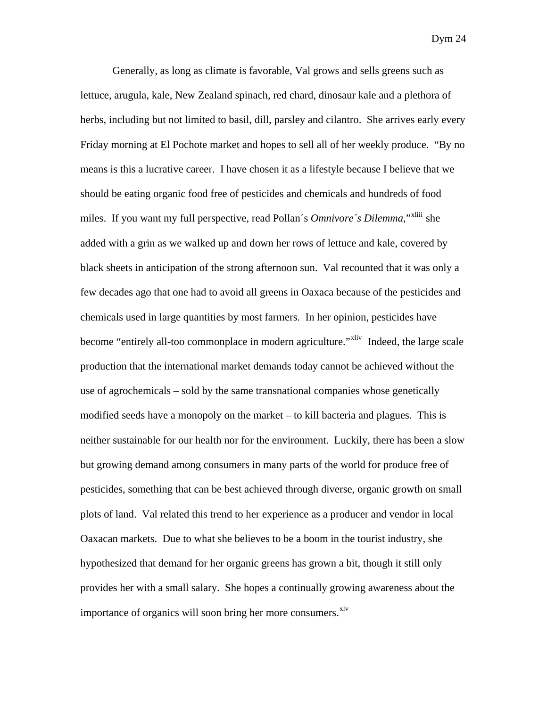Generally, as long as climate is favorable, Val grows and sells greens such as lettuce, arugula, kale, New Zealand spinach, red chard, dinosaur kale and a plethora of herbs, including but not limited to basil, dill, parsley and cilantro. She arrives early every Friday morning at El Pochote market and hopes to sell all of her weekly produce. "By no means is this a lucrative career. I have chosen it as a lifestyle because I believe that we should be eating organic food free of pesticides and chemicals and hundreds of food miles. If you want my full perspective, read Pollan´s *Omnivore´s Dilemma,*"[xliii](#page-41-1) she added with a grin as we walked up and down her rows of lettuce and kale, covered by black sheets in anticipation of the strong afternoon sun. Val recounted that it was only a few decades ago that one had to avoid all greens in Oaxaca because of the pesticides and chemicals used in large quantities by most farmers. In her opinion, pesticides have become "entirely all-too commonplace in modern agriculture."<sup>[xliv](#page-41-1)</sup> Indeed, the large scale production that the international market demands today cannot be achieved without the use of agrochemicals – sold by the same transnational companies whose genetically modified seeds have a monopoly on the market – to kill bacteria and plagues. This is neither sustainable for our health nor for the environment. Luckily, there has been a slow but growing demand among consumers in many parts of the world for produce free of pesticides, something that can be best achieved through diverse, organic growth on small plots of land. Val related this trend to her experience as a producer and vendor in local Oaxacan markets. Due to what she believes to be a boom in the tourist industry, she hypothesized that demand for her organic greens has grown a bit, though it still only provides her with a small salary. She hopes a continually growing awareness about the importance of organics will soon bring her more consumers.<sup>[xlv](#page-41-1)</sup>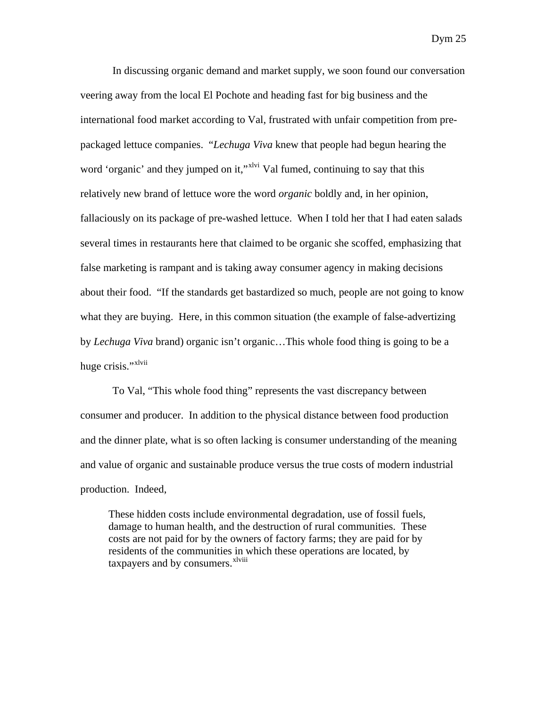In discussing organic demand and market supply, we soon found our conversation veering away from the local El Pochote and heading fast for big business and the international food market according to Val, frustrated with unfair competition from prepackaged lettuce companies. "*Lechuga Viva* knew that people had begun hearing the word 'organic' and they jumped on it,"<sup>[xlvi](#page-41-1)</sup> Val fumed, continuing to say that this relatively new brand of lettuce wore the word *organic* boldly and, in her opinion, fallaciously on its package of pre-washed lettuce. When I told her that I had eaten salads several times in restaurants here that claimed to be organic she scoffed, emphasizing that false marketing is rampant and is taking away consumer agency in making decisions about their food. "If the standards get bastardized so much, people are not going to know what they are buying. Here, in this common situation (the example of false-advertizing by *Lechuga Viva* brand) organic isn't organic…This whole food thing is going to be a huge crisis." $x^{N}$ 

To Val, "This whole food thing" represents the vast discrepancy between consumer and producer. In addition to the physical distance between food production and the dinner plate, what is so often lacking is consumer understanding of the meaning and value of organic and sustainable produce versus the true costs of modern industrial production. Indeed,

These hidden costs include environmental degradation, use of fossil fuels, damage to human health, and the destruction of rural communities. These costs are not paid for by the owners of factory farms; they are paid for by residents of the communities in which these operations are located, by taxpayers and by consumers.<sup>[xlviii](#page-41-1)</sup>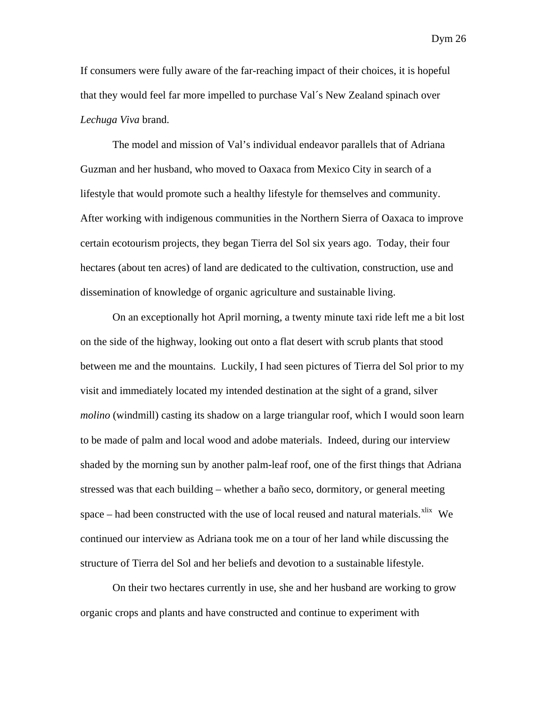If consumers were fully aware of the far-reaching impact of their choices, it is hopeful that they would feel far more impelled to purchase Val´s New Zealand spinach over *Lechuga Viva* brand.

The model and mission of Val's individual endeavor parallels that of Adriana Guzman and her husband, who moved to Oaxaca from Mexico City in search of a lifestyle that would promote such a healthy lifestyle for themselves and community. After working with indigenous communities in the Northern Sierra of Oaxaca to improve certain ecotourism projects, they began Tierra del Sol six years ago. Today, their four hectares (about ten acres) of land are dedicated to the cultivation, construction, use and dissemination of knowledge of organic agriculture and sustainable living.

On an exceptionally hot April morning, a twenty minute taxi ride left me a bit lost on the side of the highway, looking out onto a flat desert with scrub plants that stood between me and the mountains. Luckily, I had seen pictures of Tierra del Sol prior to my visit and immediately located my intended destination at the sight of a grand, silver *molino* (windmill) casting its shadow on a large triangular roof, which I would soon learn to be made of palm and local wood and adobe materials. Indeed, during our interview shaded by the morning sun by another palm-leaf roof, one of the first things that Adriana stressed was that each building – whether a baño seco, dormitory, or general meeting space – had been constructed with the use of local reused and natural materials. $x$ lix We continued our interview as Adriana took me on a tour of her land while discussing the structure of Tierra del Sol and her beliefs and devotion to a sustainable lifestyle.

On their two hectares currently in use, she and her husband are working to grow organic crops and plants and have constructed and continue to experiment with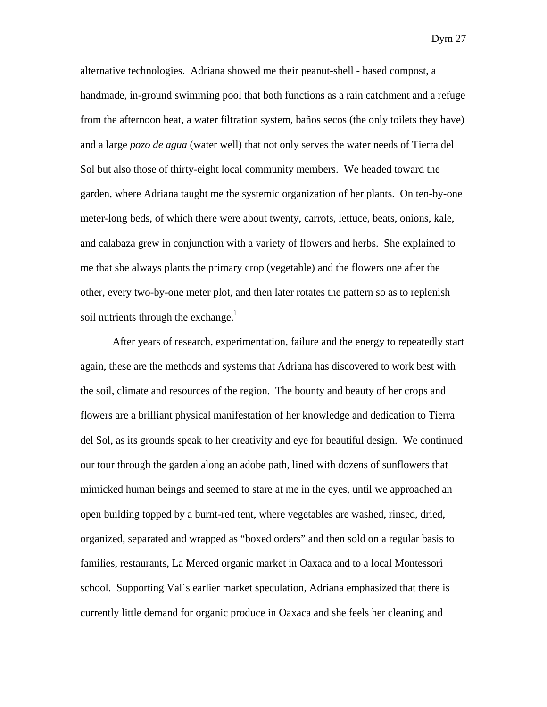alternative technologies. Adriana showed me their peanut-shell - based compost, a handmade, in-ground swimming pool that both functions as a rain catchment and a refuge from the afternoon heat, a water filtration system, baños secos (the only toilets they have) and a large *pozo de agua* (water well) that not only serves the water needs of Tierra del Sol but also those of thirty-eight local community members. We headed toward the garden, where Adriana taught me the systemic organization of her plants. On ten-by-one meter-long beds, of which there were about twenty, carrots, lettuce, beats, onions, kale, and calabaza grew in conjunction with a variety of flowers and herbs. She explained to me that she always plants the primary crop (vegetable) and the flowers one after the other, every two-by-one meter plot, and then later rotates the pattern so as to replenish soi[l](#page-41-1) nutrients through the exchange. $^1$ 

After years of research, experimentation, failure and the energy to repeatedly start again, these are the methods and systems that Adriana has discovered to work best with the soil, climate and resources of the region. The bounty and beauty of her crops and flowers are a brilliant physical manifestation of her knowledge and dedication to Tierra del Sol, as its grounds speak to her creativity and eye for beautiful design. We continued our tour through the garden along an adobe path, lined with dozens of sunflowers that mimicked human beings and seemed to stare at me in the eyes, until we approached an open building topped by a burnt-red tent, where vegetables are washed, rinsed, dried, organized, separated and wrapped as "boxed orders" and then sold on a regular basis to families, restaurants, La Merced organic market in Oaxaca and to a local Montessori school. Supporting Val´s earlier market speculation, Adriana emphasized that there is currently little demand for organic produce in Oaxaca and she feels her cleaning and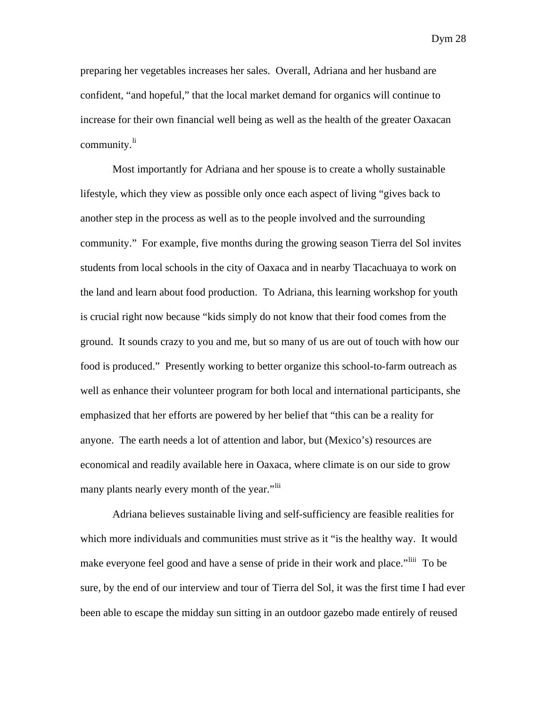preparing her vegetables increases her sales. Overall, Adriana and her husband are confident, "and hopeful," that the local market demand for organics will continue to increase for their own financial well being as well as the health of the greater Oaxacan community.<sup>[li](#page-41-1)</sup>

Most importantly for Adriana and her spouse is to create a wholly sustainable lifestyle, which they view as possible only once each aspect of living "gives back to another step in the process as well as to the people involved and the surrounding community." For example, five months during the growing season Tierra del Sol invites students from local schools in the city of Oaxaca and in nearby Tlacachuaya to work on the land and learn about food production. To Adriana, this learning workshop for youth is crucial right now because "kids simply do not know that their food comes from the ground. It sounds crazy to you and me, but so many of us are out of touch with how our food is produced." Presently working to better organize this school-to-farm outreach as well as enhance their volunteer program for both local and international participants, she emphasized that her efforts are powered by her belief that "this can be a reality for anyone. The earth needs a lot of attention and labor, but (Mexico's) resources are economical and readily available here in Oaxaca, where climate is on our side to grow many plants nearly every month of the year."<sup>[lii](#page-41-1)</sup>

Adriana believes sustainable living and self-sufficiency are feasible realities for which more individuals and communities must strive as it "is the healthy way. It would make everyone feel good and have a sense of pride in their work and place."<sup>[liii](#page-41-1)</sup> To be sure, by the end of our interview and tour of Tierra del Sol, it was the first time I had ever been able to escape the midday sun sitting in an outdoor gazebo made entirely of reused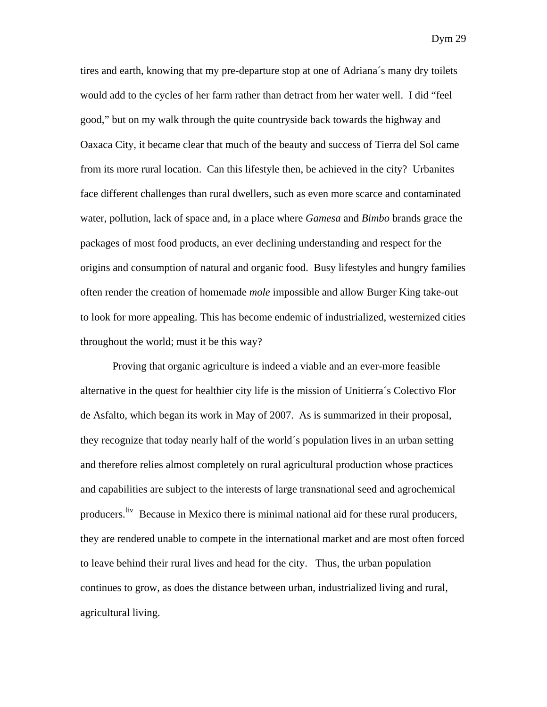tires and earth, knowing that my pre-departure stop at one of Adriana´s many dry toilets would add to the cycles of her farm rather than detract from her water well. I did "feel good," but on my walk through the quite countryside back towards the highway and Oaxaca City, it became clear that much of the beauty and success of Tierra del Sol came from its more rural location. Can this lifestyle then, be achieved in the city? Urbanites face different challenges than rural dwellers, such as even more scarce and contaminated water, pollution, lack of space and, in a place where *Gamesa* and *Bimbo* brands grace the packages of most food products, an ever declining understanding and respect for the origins and consumption of natural and organic food. Busy lifestyles and hungry families often render the creation of homemade *mole* impossible and allow Burger King take-out to look for more appealing. This has become endemic of industrialized, westernized cities throughout the world; must it be this way?

Proving that organic agriculture is indeed a viable and an ever-more feasible alternative in the quest for healthier city life is the mission of Unitierra´s Colectivo Flor de Asfalto, which began its work in May of 2007. As is summarized in their proposal, they recognize that today nearly half of the world´s population lives in an urban setting and therefore relies almost completely on rural agricultural production whose practices and capabilities are subject to the interests of large transnational seed and agrochemical producers. <sup>[liv](#page-41-1)</sup> Because in Mexico there is minimal national aid for these rural producers, they are rendered unable to compete in the international market and are most often forced to leave behind their rural lives and head for the city. Thus, the urban population continues to grow, as does the distance between urban, industrialized living and rural, agricultural living.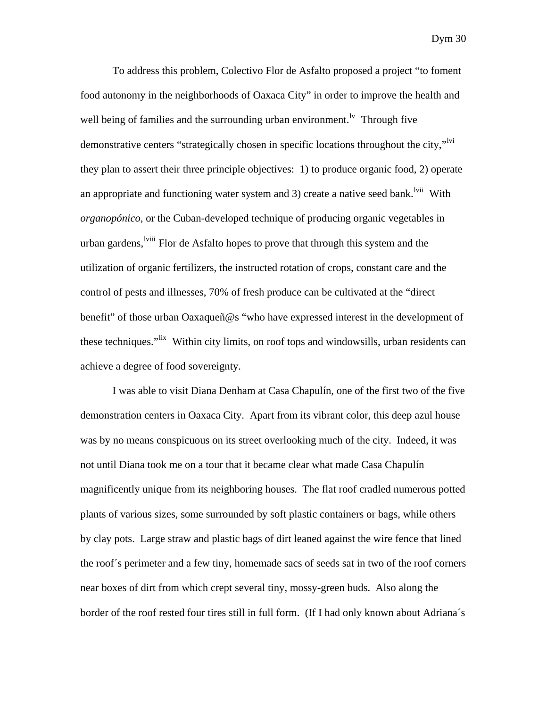To address this problem, Colectivo Flor de Asfalto proposed a project "to foment food autonomy in the neighborhoods of Oaxaca City" in order to improve the health and well being of families and the surrounding urban environment.<sup>Iv</sup> Through five demonstrative centers "strategically chosen in specific locations throughout the city,"<sup>IV1</sup> they plan to assert their three principle objectives: 1) to produce organic food, 2) operate an appropriate and functioning water system and 3) create a native seed bank.<sup>[lvii](#page-41-1)</sup> With *organopónico,* or the Cuban-developed technique of producing organic vegetables in urban gardens, <sup>Iviii</sup> Flor de Asfalto hopes to prove that through this system and the utilization of organic fertilizers, the instructed rotation of crops, constant care and the control of pests and illnesses, 70% of fresh produce can be cultivated at the "direct benefit" of those urban Oaxaqueñ@s "who have expressed interest in the development of these techniques."<sup>[lix](#page-41-1)</sup> Within city limits, on roof tops and windowsills, urban residents can achieve a degree of food sovereignty.

I was able to visit Diana Denham at Casa Chapulín, one of the first two of the five demonstration centers in Oaxaca City. Apart from its vibrant color, this deep azul house was by no means conspicuous on its street overlooking much of the city. Indeed, it was not until Diana took me on a tour that it became clear what made Casa Chapulín magnificently unique from its neighboring houses. The flat roof cradled numerous potted plants of various sizes, some surrounded by soft plastic containers or bags, while others by clay pots. Large straw and plastic bags of dirt leaned against the wire fence that lined the roof´s perimeter and a few tiny, homemade sacs of seeds sat in two of the roof corners near boxes of dirt from which crept several tiny, mossy-green buds. Also along the border of the roof rested four tires still in full form. (If I had only known about Adriana´s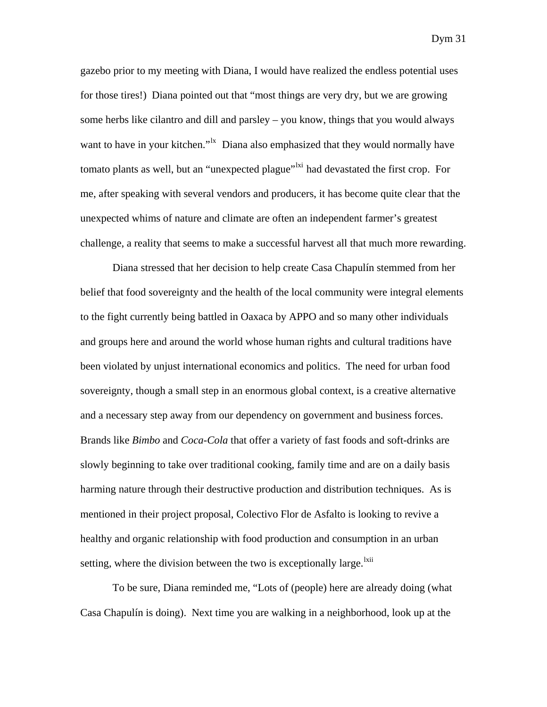gazebo prior to my meeting with Diana, I would have realized the endless potential uses for those tires!) Diana pointed out that "most things are very dry, but we are growing some herbs like cilantro and dill and parsley – you know, things that you would always want to have in your kitchen."<sup>Ix</sup> Diana also emphasized that they would normally have tomato plants as well, but an "unexpected plague"<sup>[lxi](#page-41-1)</sup> had devastated the first crop. For me, after speaking with several vendors and producers, it has become quite clear that the unexpected whims of nature and climate are often an independent farmer's greatest challenge, a reality that seems to make a successful harvest all that much more rewarding.

Diana stressed that her decision to help create Casa Chapulín stemmed from her belief that food sovereignty and the health of the local community were integral elements to the fight currently being battled in Oaxaca by APPO and so many other individuals and groups here and around the world whose human rights and cultural traditions have been violated by unjust international economics and politics. The need for urban food sovereignty, though a small step in an enormous global context, is a creative alternative and a necessary step away from our dependency on government and business forces. Brands like *Bimbo* and *Coca-Cola* that offer a variety of fast foods and soft-drinks are slowly beginning to take over traditional cooking, family time and are on a daily basis harming nature through their destructive production and distribution techniques. As is mentioned in their project proposal, Colectivo Flor de Asfalto is looking to revive a healthy and organic relationship with food production and consumption in an urban setting, where the division between the two is exceptionally large.<sup>[lxii](#page-41-1)</sup>

To be sure, Diana reminded me, "Lots of (people) here are already doing (what Casa Chapulín is doing). Next time you are walking in a neighborhood, look up at the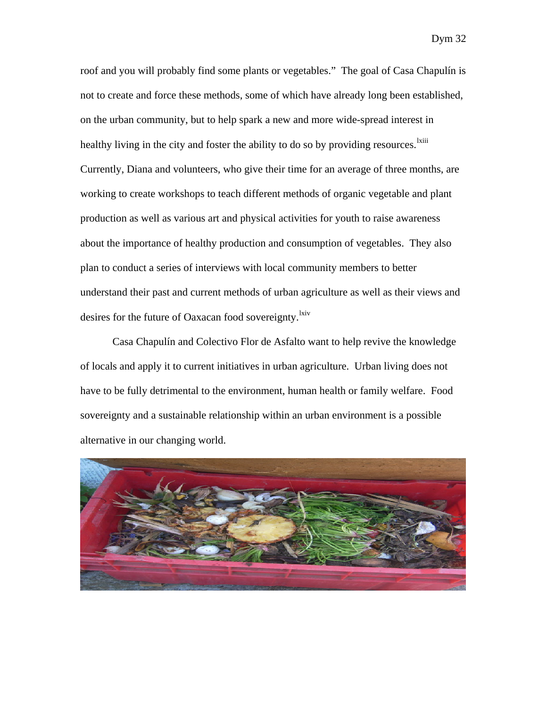roof and you will probably find some plants or vegetables." The goal of Casa Chapulín is not to create and force these methods, some of which have already long been established, on the urban community, but to help spark a new and more wide-spread interest in healthy living in the city and foster the ability to do so by providing resources.<sup>[lxiii](#page-41-1)</sup> Currently, Diana and volunteers, who give their time for an average of three months, are working to create workshops to teach different methods of organic vegetable and plant production as well as various art and physical activities for youth to raise awareness about the importance of healthy production and consumption of vegetables. They also plan to conduct a series of interviews with local community members to better understand their past and current methods of urban agriculture as well as their views and desires for the future of Oaxacan food sovereignty.<sup>[lxiv](#page-41-1)</sup>

Casa Chapulín and Colectivo Flor de Asfalto want to help revive the knowledge of locals and apply it to current initiatives in urban agriculture. Urban living does not have to be fully detrimental to the environment, human health or family welfare. Food sovereignty and a sustainable relationship within an urban environment is a possible alternative in our changing world.

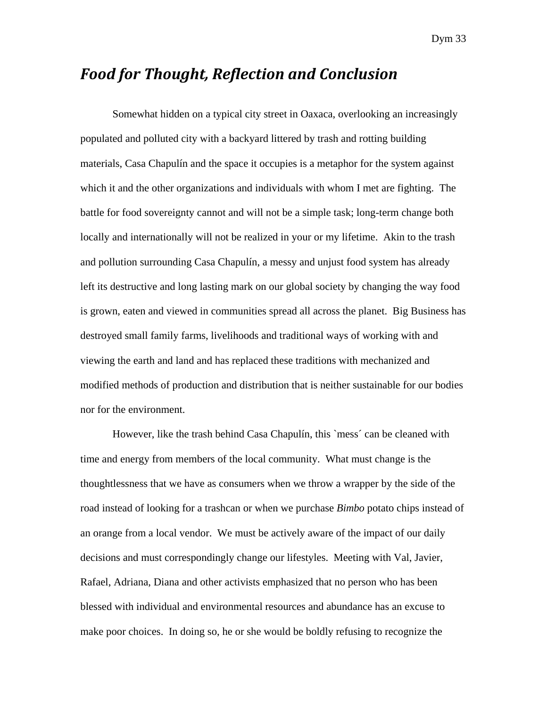#### *Food for Thought, Reflection and Conclusion*

 Somewhat hidden on a typical city street in Oaxaca, overlooking an increasingly populated and polluted city with a backyard littered by trash and rotting building materials, Casa Chapulín and the space it occupies is a metaphor for the system against which it and the other organizations and individuals with whom I met are fighting. The battle for food sovereignty cannot and will not be a simple task; long-term change both locally and internationally will not be realized in your or my lifetime. Akin to the trash and pollution surrounding Casa Chapulín, a messy and unjust food system has already left its destructive and long lasting mark on our global society by changing the way food is grown, eaten and viewed in communities spread all across the planet. Big Business has destroyed small family farms, livelihoods and traditional ways of working with and viewing the earth and land and has replaced these traditions with mechanized and modified methods of production and distribution that is neither sustainable for our bodies nor for the environment.

However, like the trash behind Casa Chapulín, this `mess´ can be cleaned with time and energy from members of the local community. What must change is the thoughtlessness that we have as consumers when we throw a wrapper by the side of the road instead of looking for a trashcan or when we purchase *Bimbo* potato chips instead of an orange from a local vendor. We must be actively aware of the impact of our daily decisions and must correspondingly change our lifestyles. Meeting with Val, Javier, Rafael, Adriana, Diana and other activists emphasized that no person who has been blessed with individual and environmental resources and abundance has an excuse to make poor choices. In doing so, he or she would be boldly refusing to recognize the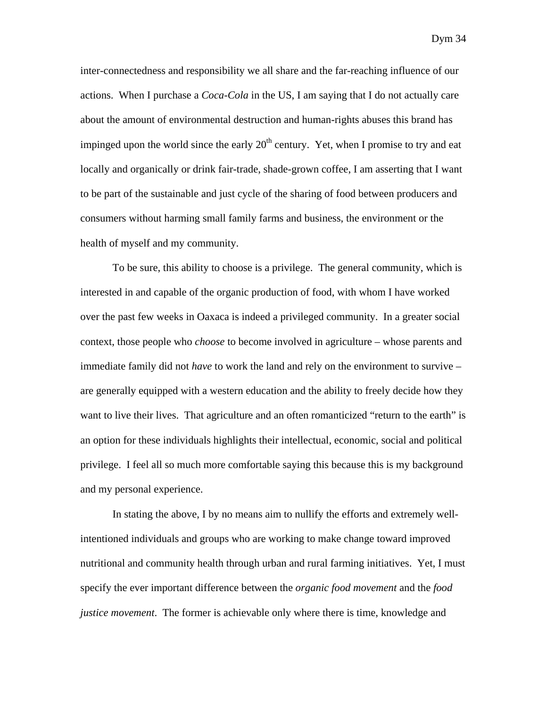inter-connectedness and responsibility we all share and the far-reaching influence of our actions. When I purchase a *Coca-Cola* in the US, I am saying that I do not actually care about the amount of environmental destruction and human-rights abuses this brand has impinged upon the world since the early  $20<sup>th</sup>$  century. Yet, when I promise to try and eat locally and organically or drink fair-trade, shade-grown coffee, I am asserting that I want to be part of the sustainable and just cycle of the sharing of food between producers and consumers without harming small family farms and business, the environment or the health of myself and my community.

To be sure, this ability to choose is a privilege. The general community, which is interested in and capable of the organic production of food, with whom I have worked over the past few weeks in Oaxaca is indeed a privileged community. In a greater social context, those people who *choose* to become involved in agriculture – whose parents and immediate family did not *have* to work the land and rely on the environment to survive – are generally equipped with a western education and the ability to freely decide how they want to live their lives. That agriculture and an often romanticized "return to the earth" is an option for these individuals highlights their intellectual, economic, social and political privilege. I feel all so much more comfortable saying this because this is my background and my personal experience.

 In stating the above, I by no means aim to nullify the efforts and extremely wellintentioned individuals and groups who are working to make change toward improved nutritional and community health through urban and rural farming initiatives. Yet, I must specify the ever important difference between the *organic food movement* and the *food justice movement*. The former is achievable only where there is time, knowledge and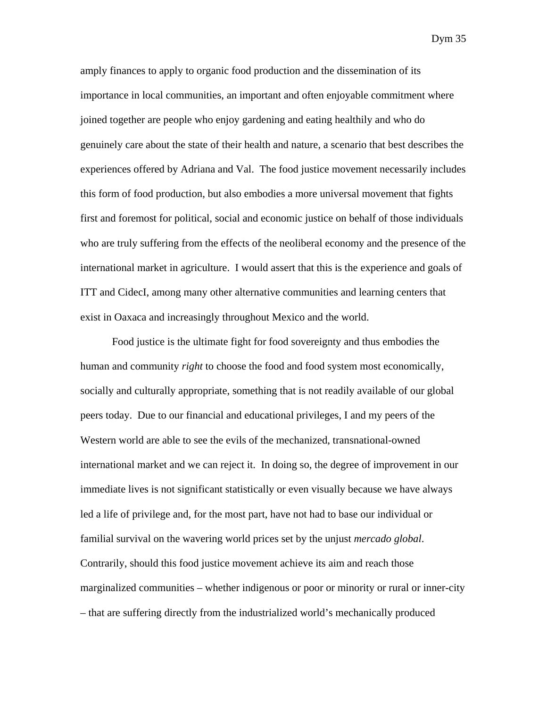amply finances to apply to organic food production and the dissemination of its importance in local communities, an important and often enjoyable commitment where joined together are people who enjoy gardening and eating healthily and who do genuinely care about the state of their health and nature, a scenario that best describes the experiences offered by Adriana and Val. The food justice movement necessarily includes this form of food production, but also embodies a more universal movement that fights first and foremost for political, social and economic justice on behalf of those individuals who are truly suffering from the effects of the neoliberal economy and the presence of the international market in agriculture. I would assert that this is the experience and goals of ITT and CidecI, among many other alternative communities and learning centers that exist in Oaxaca and increasingly throughout Mexico and the world.

Food justice is the ultimate fight for food sovereignty and thus embodies the human and community *right* to choose the food and food system most economically, socially and culturally appropriate, something that is not readily available of our global peers today. Due to our financial and educational privileges, I and my peers of the Western world are able to see the evils of the mechanized, transnational-owned international market and we can reject it. In doing so, the degree of improvement in our immediate lives is not significant statistically or even visually because we have always led a life of privilege and, for the most part, have not had to base our individual or familial survival on the wavering world prices set by the unjust *mercado global*. Contrarily, should this food justice movement achieve its aim and reach those marginalized communities – whether indigenous or poor or minority or rural or inner-city – that are suffering directly from the industrialized world's mechanically produced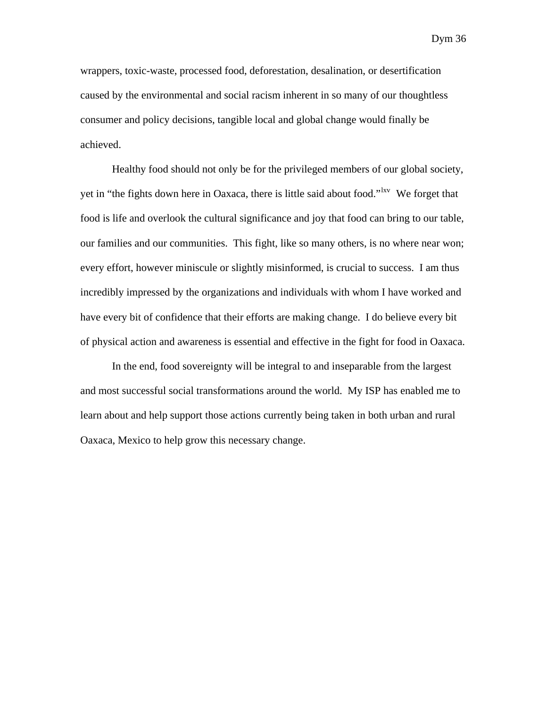wrappers, toxic-waste, processed food, deforestation, desalination, or desertification caused by the environmental and social racism inherent in so many of our thoughtless consumer and policy decisions, tangible local and global change would finally be achieved.

Healthy food should not only be for the privileged members of our global society, yet in "the fights down here in Oaxaca, there is little said about food."[lxv](#page-41-1) We forget that food is life and overlook the cultural significance and joy that food can bring to our table, our families and our communities. This fight, like so many others, is no where near won; every effort, however miniscule or slightly misinformed, is crucial to success. I am thus incredibly impressed by the organizations and individuals with whom I have worked and have every bit of confidence that their efforts are making change. I do believe every bit of physical action and awareness is essential and effective in the fight for food in Oaxaca.

In the end, food sovereignty will be integral to and inseparable from the largest and most successful social transformations around the world. My ISP has enabled me to learn about and help support those actions currently being taken in both urban and rural Oaxaca, Mexico to help grow this necessary change.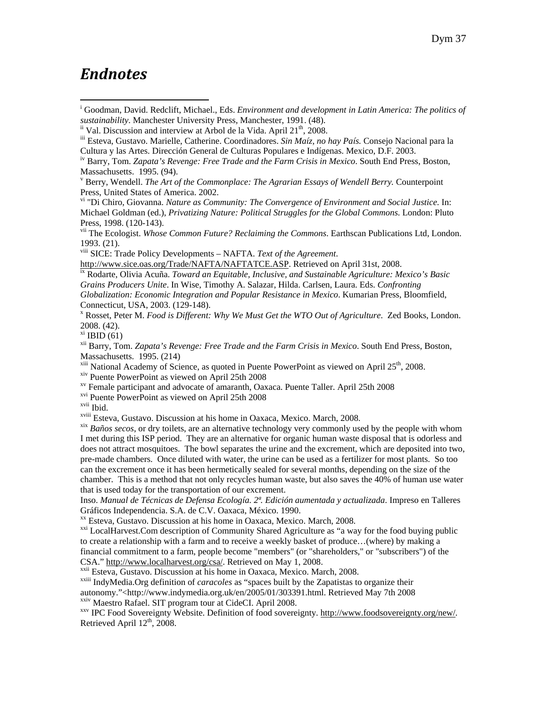#### *Endnotes*

 $\overline{a}$ 

<sup>i</sup> Goodman, David. Redclift, Michael., Eds. *Environment and development in Latin America: The politics of* sustainability. Manchester University Press, Manchester, 1991. (48).<br>
<sup>ii</sup> Val. Discussion and interview at Arbol de la Vida. April 21<sup>th</sup>, 2008.<br>
<sup>iii</sup> Esteva, Gustavo. Marielle, Catherine. Coordinadores. *Sin Maíz, no ha* 

v Berry, Wendell. *The Art of the Commonplace: The Agrarian Essays of Wendell Berry.* Counterpoint Press, United States of America. 2002.

vi "Di Chiro, Giovanna. *Nature as Community: The Convergence of Environment and Social Justice.* In: Michael Goldman (ed.), *Privatizing Nature: Political Struggles for the Global Commons*. London: Pluto Press, 1998. (120-143).

vii The Ecologist. *Whose Common Future? Reclaiming the Commons*. Earthscan Publications Ltd, London. 1993. (21).

viii SICE: Trade Policy Developments – NAFTA. *Text of the Agreement*.

<http://www.sice.oas.org/Trade/NAFTA/NAFTATCE.ASP>. Retrieved on April 31st, 2008.<br><sup>[ix](http://www.sice.oas.org/Trade/NAFTA/NAFTATCE.ASP)</sup> Rodarte, Olivia Acuña. *Toward an Equitable, Inclusive, and Sustainable Agriculture: Mexico's Basic* 

*Grains Producers Unite*. In Wise, Timothy A. Salazar, Hilda. Carlsen, Laura. Eds. *Confronting Globalization: Economic Integration and Popular Resistance in Mexico*. Kumarian Press, Bloomfield, Connecticut, USA, 2003. (129-148).

x Rosset, Peter M. *Food is Different: Why We Must Get the WTO Out of Agriculture*. Zed Books, London. 2008. (42).

 $\overline{X}$ <sup>xi</sup> IBID (61)

xii Barry, Tom. *Zapata's Revenge: Free Trade and the Farm Crisis in Mexico*. South End Press, Boston, Massachusetts. 1995. (214)

 $x$ <sup>xiii</sup> National Academy of Science, as quoted in Puente PowerPoint as viewed on April 25<sup>th</sup>, 2008.<br>  $x$ <sup>iv</sup> Puente PowerPoint as viewed on April 25th 2008

 $x<sup>x</sup>$  Female participant and advocate of amaranth, Oaxaca. Puente Taller. April 25th 2008

xvi Puente PowerPoint as viewed on April 25th 2008

<sup>xvii</sup> Ibid.<br><sup>xviii</sup> Esteva, Gustavo. Discussion at his home in Oaxaca, Mexico. March, 2008.

<sup>xix</sup> Baños secos, or dry toilets, are an alternative technology very commonly used by the people with whom I met during this ISP period. They are an alternative for organic human waste disposal that is odorless and does not attract mosquitoes. The bowl separates the urine and the excrement, which are deposited into two, pre-made chambers. Once diluted with water, the urine can be used as a fertilizer for most plants. So too can the excrement once it has been hermetically sealed for several months, depending on the size of the chamber. This is a method that not only recycles human waste, but also saves the 40% of human use water that is used today for the transportation of our excrement.

Inso. *Manual de Técnicas de Defensa Ecología. 2ª. Edición aumentada y actualizada*. Impreso en Talleres Gráficos Independencia. S.A. de C.V. Oaxaca, México. 1990.

xx Esteva, Gustavo. Discussion at his home in Oaxaca, Mexico. March, 2008.

<sup>xxi</sup> LocalHarvest.Com description of Community Shared Agriculture as "a way for the food buying public to create a relationship with a farm and to receive a weekly basket of produce…(where) by making a financial commitment to a farm, people become "members" (or "shareholders," or "subscribers") of the CSA." <http://www.localharvest.org/csa/>. Retrieved on May 1, 2008.<br><sup>xxii</sup> Esteva, Gustavo. Discussion at his home in Oaxaca, Mexico. March, 2008.<br><sup>xxiii</sup> IndyMedia.Org definition of *caracoles* as "spaces built by the Zapat

autonomy."<http://www.indymedia.org.uk/en/2005/01/303391.html. Retrieved May 7th 2008

xxv IPC Food Sovereignty Website. Definition of food sovereignty. [http://www.foodsovereignty.org/new/.](http://www.foodsovereignty.org/new/) Retrieved April  $12<sup>th</sup>$ , 2008.

Cultura y las Artes. Dirección General de Culturas Populares e Indígenas. Mexico, D.F. 2003.

iv Barry, Tom. *Zapata's Revenge: Free Trade and the Farm Crisis in Mexico*. South End Press, Boston, Massachusetts. 1995. (94).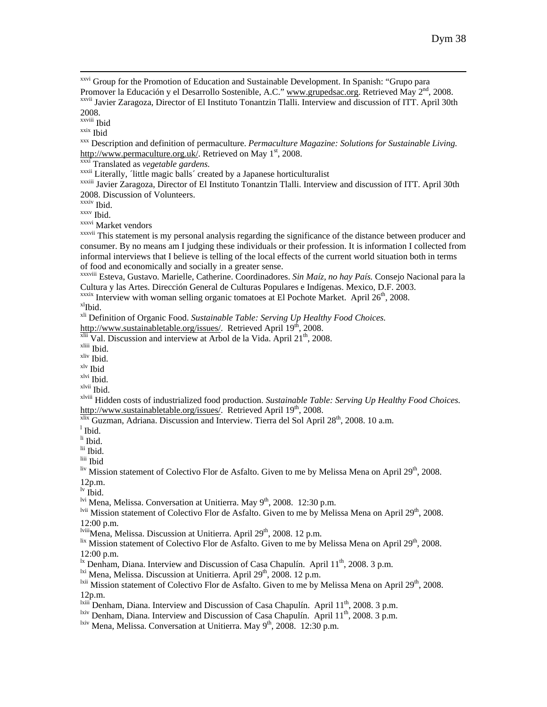<sup>xxvi</sup> Group for the Promotion of Education and Sustainable Development. In Spanish: "Grupo para Promover la Educación y el Desarrollo Sostenible, A.C." [www.grupedsac.org](http://www.grupedsac.org/). Retrieved May 2<sup>nd</sup>, 2008. xxvii Javier Zaragoza, Director of El Instituto Tonantzin Tlalli. Interview and discussion of ITT. April 30th

2008.<br><sup>xxviii</sup> Ibid

<sup>xxix</sup> Ibid<br><sup>xxx</sup> Description and definition of permaculture. *Permaculture Magazine: Solutions for Sustainable Living*. [http://www.permaculture.org.uk/.](http://www.permaculture.org.uk/) Retrieved on May 1<sup>st</sup>, 2008.<br>
<sup>xxxi</sup> Translated as *vegetable gardens*.<br>
<sup>xxxii</sup> Literally, Tittle magic balls' created by a Japanese horticulturalist<br>
<sup>xxxiii</sup> Javier Zaragoza, Director o

2008. Discussion of Volunteers.

xxxiv Ibid.<br>xxxv Ibid.

xxxvi Market vendors

xxxvii This statement is my personal analysis regarding the significance of the distance between producer and consumer. By no means am I judging these individuals or their profession. It is information I collected from informal interviews that I believe is telling of the local effects of the current world situation both in terms of food and economically and socially in a greater sense.

xxx<sup>viii</sup> Esteva, Gustavo. Marielle, Catherine. Coordinadores. *Sin Maíz, no hay País*. Consejo Nacional para la Cultura y las Artes. Dirección General de Culturas Populares e Indígenas. Mexico, D.F. 2003.

<sup>xxxix</sup> Interview with woman selling organic tomatoes at El Pochote Market. April 26<sup>th</sup>, 2008.  $x^{1}$ Ibid.

xli Definition of Organic Food. *Sustainable Table: Serving Up Healthy Food Choices.*

<http://www.sustainabletable.org/issues/>. Retrieved April 19<sup>th</sup>, 2008. <sup>[xlii](http://www.sustainabletable.org/issues/)</sup> Val. Discussion and interview at Arbol de la Vida. April 21<sup>th</sup>, 2008. <sup>xliii</sup> Ibid.

xliv Ibid.

xlv Ibid xlvi Ibid.

xlvii Ibid.

xlviii Hidden costs of industrialized food production. *Sustainable Table: Serving Up Healthy Food Choices.*

 $\overline{x}$ lix Guzman, Adriana. Discussion and Interview. Tierra del Sol April 28<sup>th</sup>, 2008. 10 a.m.

 $^{\rm l}$  Ibid.

li Ibid.

lii Ibid.

liii Ibid

 $\frac{div}{div}$  Mission statement of Colectivo Flor de Asfalto. Given to me by Melissa Mena on April 29<sup>th</sup>, 2008. 12p.m.

lv Ibid.

<sup>lvi</sup> Mena, Melissa. Conversation at Unitierra. May  $9<sup>th</sup>$ , 2008. 12:30 p.m.

lvii Mission statement of Colectivo Flor de Asfalto. Given to me by Melissa Mena on April 29<sup>th</sup>, 2008. 12:00 p.m.<br><sup>Iviii</sup>Mena, Melissa. Discussion at Unitierra. April 29<sup>th</sup>, 2008. 12 p.m.

 $\frac{\text{lix}}{\text{Mission}}$  statement of Colectivo Flor de Asfalto. Given to me by Melissa Mena on April 29<sup>th</sup>, 2008. 12:00 p.m.<br><sup>1x</sup> Denham, Diana. Interview and Discussion of Casa Chapulín. April  $11^{th}$ , 2008. 3 p.m.

<sup>1xi</sup> Mena, Melissa. Discussion at Unitierra. April 29<sup>th</sup>, 2008. 12 p.m.<br><sup>1xii</sup> Mission statement of Colectivo Flor de Asfalto. Given to me by Melissa Mena on April 29<sup>th</sup>, 2008. 12p.m.

<sup>1xiii</sup> Denham, Diana. Interview and Discussion of Casa Chapulín. April  $11^{th}$ , 2008. 3 p.m.

<sup>lxiv</sup> Denham, Diana. Interview and Discussion of Casa Chapulín. April  $11^{th}$ , 2008. 3 p.m.

<sup>lxiv</sup> Mena, Melissa. Conversation at Unitierra. May  $9<sup>th</sup>$ , 2008. 12:30 p.m.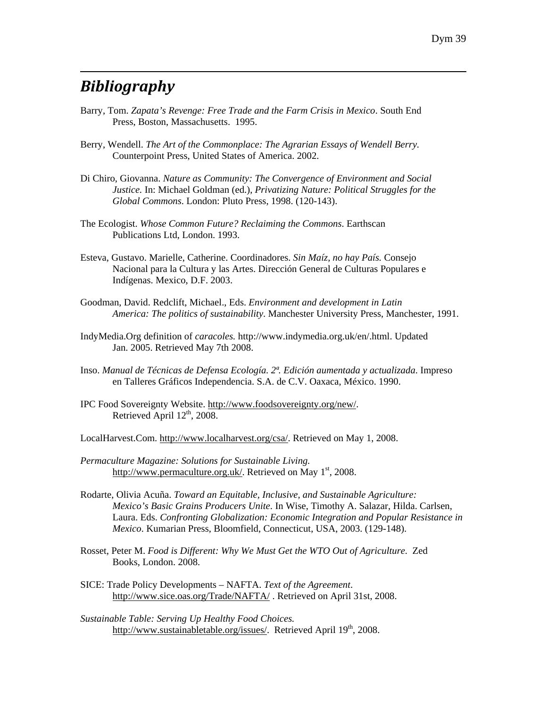# *Bibliography*

 $\overline{a}$ 

- Barry, Tom. *Zapata's Revenge: Free Trade and the Farm Crisis in Mexico*. South End Press, Boston, Massachusetts. 1995.
- Berry, Wendell. *The Art of the Commonplace: The Agrarian Essays of Wendell Berry.* Counterpoint Press, United States of America. 2002.
- Di Chiro, Giovanna. *Nature as Community: The Convergence of Environment and Social Justice.* In: Michael Goldman (ed.), *Privatizing Nature: Political Struggles for the Global Commons*. London: Pluto Press, 1998. (120-143).
- The Ecologist. *Whose Common Future? Reclaiming the Commons*. Earthscan Publications Ltd, London. 1993.
- Esteva, Gustavo. Marielle, Catherine. Coordinadores. *Sin Maíz, no hay País.* Consejo Nacional para la Cultura y las Artes. Dirección General de Culturas Populares e Indígenas. Mexico, D.F. 2003.
- Goodman, David. Redclift, Michael., Eds. *Environment and development in Latin America: The politics of sustainability*. Manchester University Press, Manchester, 1991.
- IndyMedia.Org definition of *caracoles.* http://www.indymedia.org.uk/en/.html. Updated Jan. 2005. Retrieved May 7th 2008.
- Inso. *Manual de Técnicas de Defensa Ecología. 2ª. Edición aumentada y actualizada*. Impreso en Talleres Gráficos Independencia. S.A. de C.V. Oaxaca, México. 1990.
- IPC Food Sovereignty Website. [http://www.foodsovereignty.org/new/.](http://www.foodsovereignty.org/new/) Retrieved April  $12<sup>th</sup>$ , 2008.
- LocalHarvest.Com. <http://www.localharvest.org/csa/>. Retrieved on May 1, 2008.
- *Permaculture Magazine: Solutions for Sustainable Living.*  <http://www.permaculture.org.uk/>. Retrieved on May  $1<sup>st</sup>$ , 2008.
- Rodarte, Olivia Acuña. *Toward an Equitable, Inclusive, and Sustainable Agriculture: Mexico's Basic Grains Producers Unite*. In Wise, Timothy A. Salazar, Hilda. Carlsen, Laura. Eds. *Confronting Globalization: Economic Integration and Popular Resistance in Mexico*. Kumarian Press, Bloomfield, Connecticut, USA, 2003. (129-148).
- Rosset, Peter M. *Food is Different: Why We Must Get the WTO Out of Agriculture*. Zed Books, London. 2008.
- SICE: Trade Policy Developments NAFTA. *Text of the Agreement*. [http://www.sice.oas.org/Trade/NAFTA/](http://www.sice.oas.org/Trade/NAFTA/NAFTATCE.ASP) . Retrieved on April 31st, 2008.
- *Sustainable Table: Serving Up Healthy Food Choices.* [http://www.sustainabletable.org/issues/.](http://www.sustainabletable.org/issues/) Retrieved April 19<sup>th</sup>, 2008.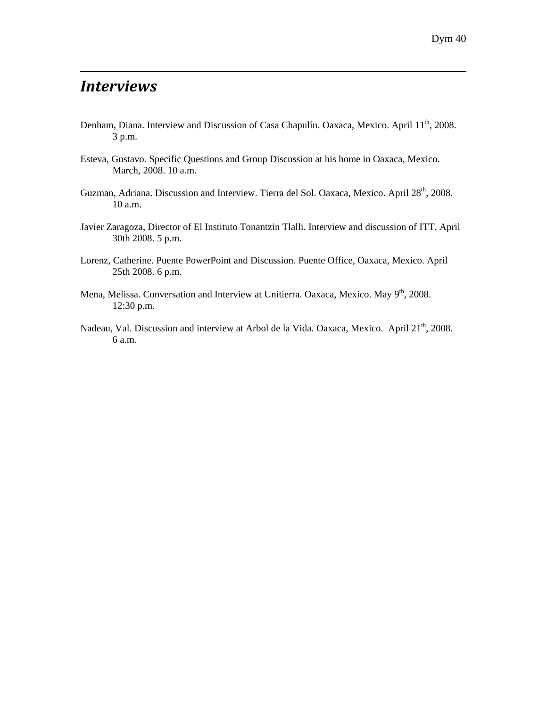# *Interviews*

 $\overline{a}$ 

- Denham, Diana. Interview and Discussion of Casa Chapulín. Oaxaca, Mexico. April 11<sup>th</sup>, 2008. 3 p.m.
- Esteva, Gustavo. Specific Questions and Group Discussion at his home in Oaxaca, Mexico. March, 2008. 10 a.m.
- Guzman, Adriana. Discussion and Interview. Tierra del Sol. Oaxaca, Mexico. April 28<sup>th</sup>, 2008. 10 a.m.
- Javier Zaragoza, Director of El Instituto Tonantzin Tlalli. Interview and discussion of ITT. April 30th 2008. 5 p.m.
- Lorenz, Catherine. Puente PowerPoint and Discussion. Puente Office, Oaxaca, Mexico. April 25th 2008. 6 p.m.
- Mena, Melissa. Conversation and Interview at Unitierra. Oaxaca, Mexico. May 9<sup>th</sup>, 2008. 12:30 p.m.
- Nadeau, Val. Discussion and interview at Arbol de la Vida. Oaxaca, Mexico. April 21<sup>th</sup>, 2008. 6 a.m.